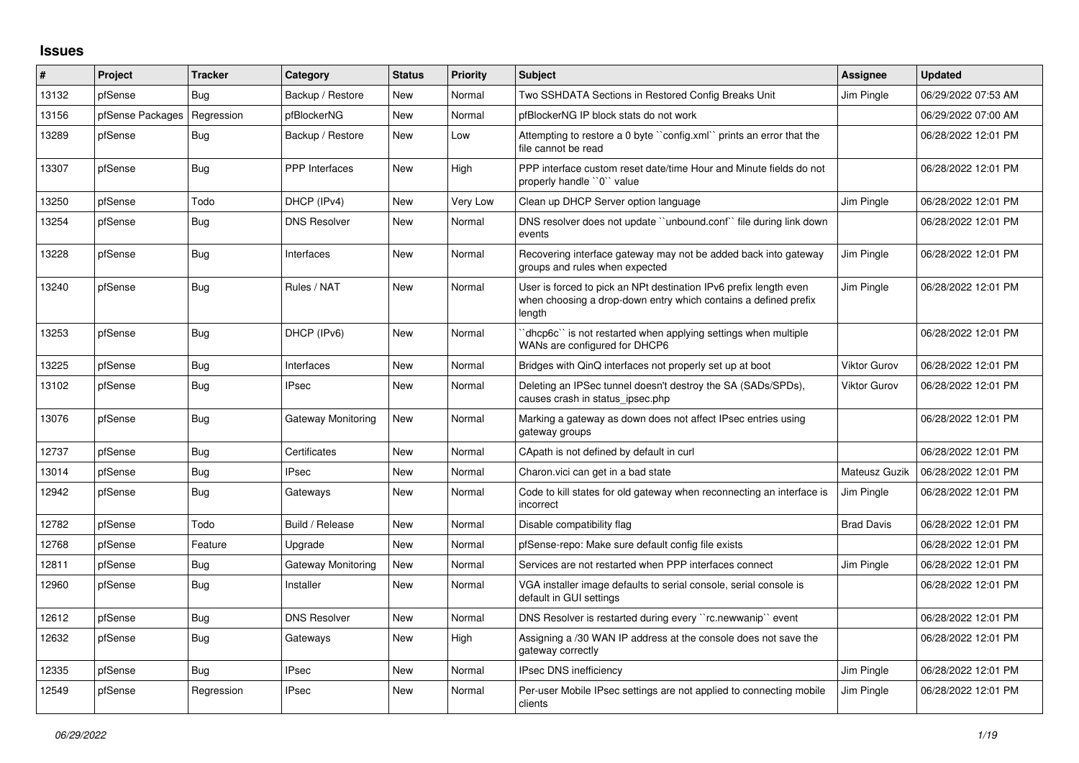## **Issues**

| #     | Project          | <b>Tracker</b> | Category              | <b>Status</b> | <b>Priority</b> | <b>Subject</b>                                                                                                                                 | <b>Assignee</b>     | <b>Updated</b>      |
|-------|------------------|----------------|-----------------------|---------------|-----------------|------------------------------------------------------------------------------------------------------------------------------------------------|---------------------|---------------------|
| 13132 | pfSense          | Bug            | Backup / Restore      | <b>New</b>    | Normal          | Two SSHDATA Sections in Restored Config Breaks Unit                                                                                            | Jim Pingle          | 06/29/2022 07:53 AM |
| 13156 | pfSense Packages | Regression     | pfBlockerNG           | New           | Normal          | pfBlockerNG IP block stats do not work                                                                                                         |                     | 06/29/2022 07:00 AM |
| 13289 | pfSense          | Bug            | Backup / Restore      | New           | Low             | Attempting to restore a 0 byte "config.xml" prints an error that the<br>file cannot be read                                                    |                     | 06/28/2022 12:01 PM |
| 13307 | pfSense          | Bug            | <b>PPP</b> Interfaces | <b>New</b>    | High            | PPP interface custom reset date/time Hour and Minute fields do not<br>properly handle "0" value                                                |                     | 06/28/2022 12:01 PM |
| 13250 | pfSense          | Todo           | DHCP (IPv4)           | New           | Very Low        | Clean up DHCP Server option language                                                                                                           | Jim Pingle          | 06/28/2022 12:01 PM |
| 13254 | pfSense          | Bug            | <b>DNS Resolver</b>   | New           | Normal          | DNS resolver does not update "unbound.conf" file during link down<br>events                                                                    |                     | 06/28/2022 12:01 PM |
| 13228 | pfSense          | Bug            | Interfaces            | <b>New</b>    | Normal          | Recovering interface gateway may not be added back into gateway<br>groups and rules when expected                                              | Jim Pingle          | 06/28/2022 12:01 PM |
| 13240 | pfSense          | Bug            | Rules / NAT           | New           | Normal          | User is forced to pick an NPt destination IPv6 prefix length even<br>when choosing a drop-down entry which contains a defined prefix<br>length | Jim Pingle          | 06/28/2022 12:01 PM |
| 13253 | pfSense          | Bug            | DHCP (IPv6)           | <b>New</b>    | Normal          | dhcp6c" is not restarted when applying settings when multiple<br>WANs are configured for DHCP6                                                 |                     | 06/28/2022 12:01 PM |
| 13225 | pfSense          | Bug            | Interfaces            | <b>New</b>    | Normal          | Bridges with QinQ interfaces not properly set up at boot                                                                                       | <b>Viktor Gurov</b> | 06/28/2022 12:01 PM |
| 13102 | pfSense          | Bug            | <b>IPsec</b>          | New           | Normal          | Deleting an IPSec tunnel doesn't destroy the SA (SADs/SPDs),<br>causes crash in status ipsec.php                                               | <b>Viktor Gurov</b> | 06/28/2022 12:01 PM |
| 13076 | pfSense          | Bug            | Gateway Monitoring    | New           | Normal          | Marking a gateway as down does not affect IPsec entries using<br>gateway groups                                                                |                     | 06/28/2022 12:01 PM |
| 12737 | pfSense          | Bug            | Certificates          | <b>New</b>    | Normal          | CApath is not defined by default in curl                                                                                                       |                     | 06/28/2022 12:01 PM |
| 13014 | pfSense          | <b>Bug</b>     | <b>IPsec</b>          | New           | Normal          | Charon.vici can get in a bad state                                                                                                             | Mateusz Guzik       | 06/28/2022 12:01 PM |
| 12942 | pfSense          | Bug            | Gateways              | New           | Normal          | Code to kill states for old gateway when reconnecting an interface is<br>incorrect                                                             | Jim Pingle          | 06/28/2022 12:01 PM |
| 12782 | pfSense          | Todo           | Build / Release       | New           | Normal          | Disable compatibility flag                                                                                                                     | <b>Brad Davis</b>   | 06/28/2022 12:01 PM |
| 12768 | pfSense          | Feature        | Upgrade               | New           | Normal          | pfSense-repo: Make sure default config file exists                                                                                             |                     | 06/28/2022 12:01 PM |
| 12811 | pfSense          | <b>Bug</b>     | Gateway Monitoring    | New           | Normal          | Services are not restarted when PPP interfaces connect                                                                                         | Jim Pingle          | 06/28/2022 12:01 PM |
| 12960 | pfSense          | Bug            | Installer             | <b>New</b>    | Normal          | VGA installer image defaults to serial console, serial console is<br>default in GUI settings                                                   |                     | 06/28/2022 12:01 PM |
| 12612 | pfSense          | Bug            | <b>DNS Resolver</b>   | New           | Normal          | DNS Resolver is restarted during every "rc.newwanip" event                                                                                     |                     | 06/28/2022 12:01 PM |
| 12632 | pfSense          | Bug            | Gateways              | <b>New</b>    | High            | Assigning a /30 WAN IP address at the console does not save the<br>gateway correctly                                                           |                     | 06/28/2022 12:01 PM |
| 12335 | pfSense          | Bug            | <b>IPsec</b>          | <b>New</b>    | Normal          | <b>IPsec DNS inefficiency</b>                                                                                                                  | Jim Pingle          | 06/28/2022 12:01 PM |
| 12549 | pfSense          | Regression     | <b>IPsec</b>          | New           | Normal          | Per-user Mobile IPsec settings are not applied to connecting mobile<br>clients                                                                 | Jim Pingle          | 06/28/2022 12:01 PM |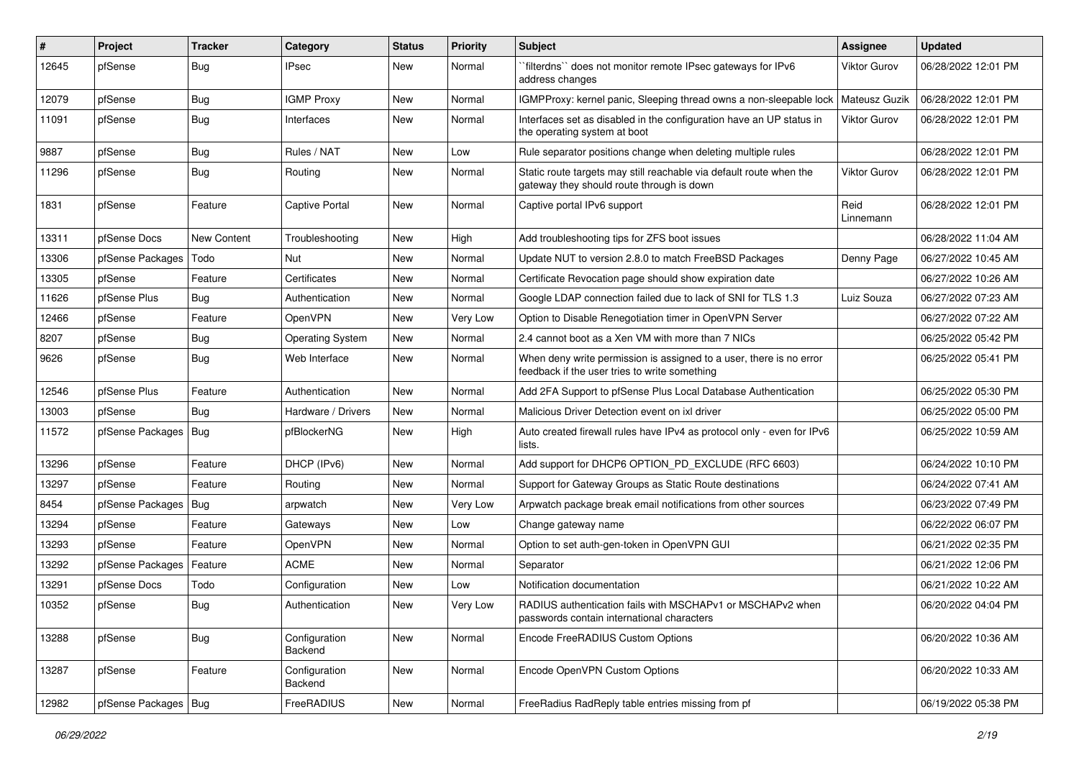| #     | Project                | <b>Tracker</b> | Category                 | <b>Status</b> | <b>Priority</b> | Subject                                                                                                              | <b>Assignee</b>   | <b>Updated</b>      |
|-------|------------------------|----------------|--------------------------|---------------|-----------------|----------------------------------------------------------------------------------------------------------------------|-------------------|---------------------|
| 12645 | pfSense                | Bug            | <b>IPsec</b>             | New           | Normal          | `filterdns`` does not monitor remote IPsec gateways for IPv6<br>address changes                                      | Viktor Gurov      | 06/28/2022 12:01 PM |
| 12079 | pfSense                | Bug            | <b>IGMP Proxy</b>        | New           | Normal          | IGMPProxy: kernel panic, Sleeping thread owns a non-sleepable lock                                                   | Mateusz Guzik     | 06/28/2022 12:01 PM |
| 11091 | pfSense                | <b>Bug</b>     | Interfaces               | New           | Normal          | Interfaces set as disabled in the configuration have an UP status in<br>the operating system at boot                 | Viktor Gurov      | 06/28/2022 12:01 PM |
| 9887  | pfSense                | <b>Bug</b>     | Rules / NAT              | New           | Low             | Rule separator positions change when deleting multiple rules                                                         |                   | 06/28/2022 12:01 PM |
| 11296 | pfSense                | Bug            | Routing                  | New           | Normal          | Static route targets may still reachable via default route when the<br>gateway they should route through is down     | Viktor Gurov      | 06/28/2022 12:01 PM |
| 1831  | pfSense                | Feature        | <b>Captive Portal</b>    | <b>New</b>    | Normal          | Captive portal IPv6 support                                                                                          | Reid<br>Linnemann | 06/28/2022 12:01 PM |
| 13311 | pfSense Docs           | New Content    | Troubleshooting          | <b>New</b>    | High            | Add troubleshooting tips for ZFS boot issues                                                                         |                   | 06/28/2022 11:04 AM |
| 13306 | pfSense Packages       | Todo           | Nut                      | New           | Normal          | Update NUT to version 2.8.0 to match FreeBSD Packages                                                                | Denny Page        | 06/27/2022 10:45 AM |
| 13305 | pfSense                | Feature        | Certificates             | <b>New</b>    | Normal          | Certificate Revocation page should show expiration date                                                              |                   | 06/27/2022 10:26 AM |
| 11626 | pfSense Plus           | Bug            | Authentication           | New           | Normal          | Google LDAP connection failed due to lack of SNI for TLS 1.3                                                         | Luiz Souza        | 06/27/2022 07:23 AM |
| 12466 | pfSense                | Feature        | OpenVPN                  | New           | Very Low        | Option to Disable Renegotiation timer in OpenVPN Server                                                              |                   | 06/27/2022 07:22 AM |
| 8207  | pfSense                | Bug            | <b>Operating System</b>  | New           | Normal          | 2.4 cannot boot as a Xen VM with more than 7 NICs                                                                    |                   | 06/25/2022 05:42 PM |
| 9626  | pfSense                | <b>Bug</b>     | Web Interface            | New           | Normal          | When deny write permission is assigned to a user, there is no error<br>feedback if the user tries to write something |                   | 06/25/2022 05:41 PM |
| 12546 | pfSense Plus           | Feature        | Authentication           | <b>New</b>    | Normal          | Add 2FA Support to pfSense Plus Local Database Authentication                                                        |                   | 06/25/2022 05:30 PM |
| 13003 | pfSense                | Bug            | Hardware / Drivers       | <b>New</b>    | Normal          | Malicious Driver Detection event on ixl driver                                                                       |                   | 06/25/2022 05:00 PM |
| 11572 | pfSense Packages   Bug |                | pfBlockerNG              | New           | High            | Auto created firewall rules have IPv4 as protocol only - even for IPv6<br>lists.                                     |                   | 06/25/2022 10:59 AM |
| 13296 | pfSense                | Feature        | DHCP (IPv6)              | New           | Normal          | Add support for DHCP6 OPTION PD EXCLUDE (RFC 6603)                                                                   |                   | 06/24/2022 10:10 PM |
| 13297 | pfSense                | Feature        | Routing                  | <b>New</b>    | Normal          | Support for Gateway Groups as Static Route destinations                                                              |                   | 06/24/2022 07:41 AM |
| 8454  | pfSense Packages       | Bug            | arpwatch                 | New           | Very Low        | Arpwatch package break email notifications from other sources                                                        |                   | 06/23/2022 07:49 PM |
| 13294 | pfSense                | Feature        | Gateways                 | <b>New</b>    | Low             | Change gateway name                                                                                                  |                   | 06/22/2022 06:07 PM |
| 13293 | pfSense                | Feature        | OpenVPN                  | New           | Normal          | Option to set auth-gen-token in OpenVPN GUI                                                                          |                   | 06/21/2022 02:35 PM |
| 13292 | pfSense Packages       | Feature        | <b>ACME</b>              | <b>New</b>    | Normal          | Separator                                                                                                            |                   | 06/21/2022 12:06 PM |
| 13291 | pfSense Docs           | Todo           | Configuration            | New           | Low             | Notification documentation                                                                                           |                   | 06/21/2022 10:22 AM |
| 10352 | pfSense                | i Bug          | Authentication           | New           | Very Low        | RADIUS authentication fails with MSCHAPv1 or MSCHAPv2 when<br>passwords contain international characters             |                   | 06/20/2022 04:04 PM |
| 13288 | pfSense                | <b>Bug</b>     | Configuration<br>Backend | New           | Normal          | Encode FreeRADIUS Custom Options                                                                                     |                   | 06/20/2022 10:36 AM |
| 13287 | pfSense                | Feature        | Configuration<br>Backend | New           | Normal          | Encode OpenVPN Custom Options                                                                                        |                   | 06/20/2022 10:33 AM |
| 12982 | pfSense Packages   Bug |                | FreeRADIUS               | New           | Normal          | FreeRadius RadReply table entries missing from pf                                                                    |                   | 06/19/2022 05:38 PM |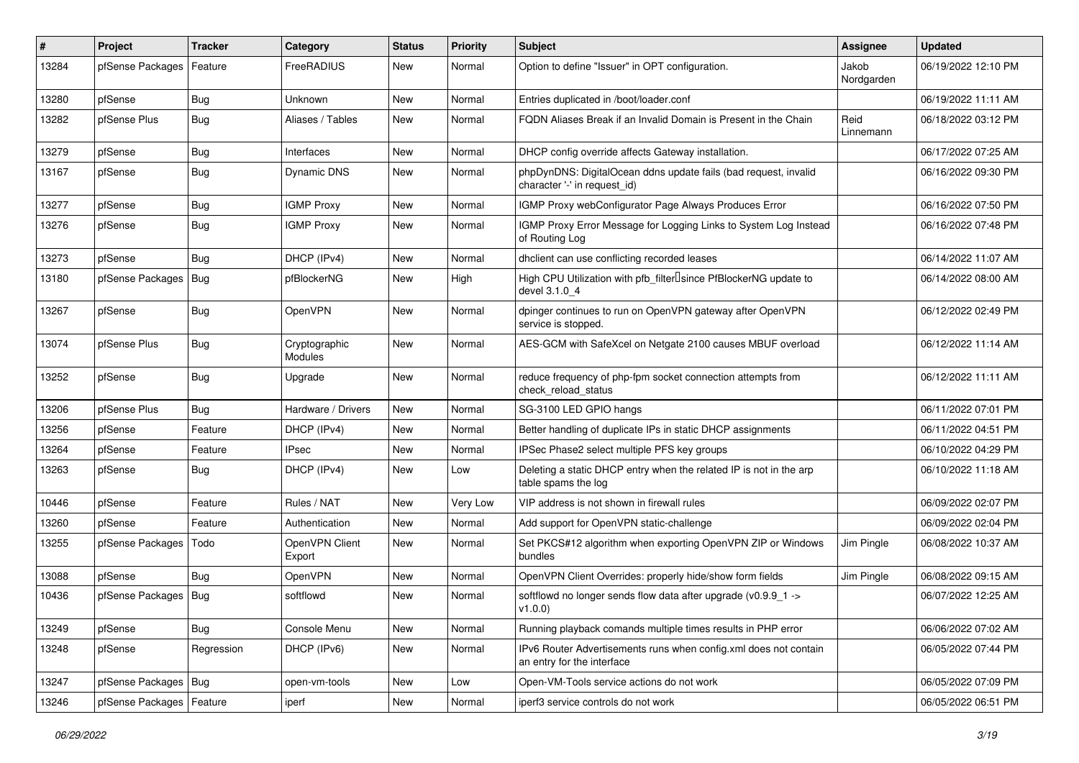| #     | Project                    | <b>Tracker</b> | Category                 | <b>Status</b> | <b>Priority</b> | <b>Subject</b>                                                                                  | Assignee            | <b>Updated</b>      |
|-------|----------------------------|----------------|--------------------------|---------------|-----------------|-------------------------------------------------------------------------------------------------|---------------------|---------------------|
| 13284 | pfSense Packages           | Feature        | FreeRADIUS               | New           | Normal          | Option to define "Issuer" in OPT configuration.                                                 | Jakob<br>Nordgarden | 06/19/2022 12:10 PM |
| 13280 | pfSense                    | Bug            | Unknown                  | <b>New</b>    | Normal          | Entries duplicated in /boot/loader.conf                                                         |                     | 06/19/2022 11:11 AM |
| 13282 | pfSense Plus               | Bug            | Aliases / Tables         | New           | Normal          | FQDN Aliases Break if an Invalid Domain is Present in the Chain                                 | Reid<br>Linnemann   | 06/18/2022 03:12 PM |
| 13279 | pfSense                    | <b>Bug</b>     | Interfaces               | <b>New</b>    | Normal          | DHCP config override affects Gateway installation.                                              |                     | 06/17/2022 07:25 AM |
| 13167 | pfSense                    | Bug            | <b>Dynamic DNS</b>       | New           | Normal          | phpDynDNS: DigitalOcean ddns update fails (bad request, invalid<br>character '-' in request_id) |                     | 06/16/2022 09:30 PM |
| 13277 | pfSense                    | <b>Bug</b>     | <b>IGMP Proxy</b>        | New           | Normal          | IGMP Proxy webConfigurator Page Always Produces Error                                           |                     | 06/16/2022 07:50 PM |
| 13276 | pfSense                    | Bug            | <b>IGMP Proxy</b>        | New           | Normal          | IGMP Proxy Error Message for Logging Links to System Log Instead<br>of Routing Log              |                     | 06/16/2022 07:48 PM |
| 13273 | pfSense                    | Bug            | DHCP (IPv4)              | New           | Normal          | dhclient can use conflicting recorded leases                                                    |                     | 06/14/2022 11:07 AM |
| 13180 | pfSense Packages   Bug     |                | pfBlockerNG              | New           | High            | High CPU Utilization with pfb_filterlsince PfBlockerNG update to<br>devel 3.1.0 4               |                     | 06/14/2022 08:00 AM |
| 13267 | pfSense                    | Bug            | OpenVPN                  | New           | Normal          | dpinger continues to run on OpenVPN gateway after OpenVPN<br>service is stopped.                |                     | 06/12/2022 02:49 PM |
| 13074 | pfSense Plus               | Bug            | Cryptographic<br>Modules | New           | Normal          | AES-GCM with SafeXcel on Netgate 2100 causes MBUF overload                                      |                     | 06/12/2022 11:14 AM |
| 13252 | pfSense                    | Bug            | Upgrade                  | New           | Normal          | reduce frequency of php-fpm socket connection attempts from<br>check reload status              |                     | 06/12/2022 11:11 AM |
| 13206 | pfSense Plus               | Bug            | Hardware / Drivers       | <b>New</b>    | Normal          | SG-3100 LED GPIO hangs                                                                          |                     | 06/11/2022 07:01 PM |
| 13256 | pfSense                    | Feature        | DHCP (IPv4)              | New           | Normal          | Better handling of duplicate IPs in static DHCP assignments                                     |                     | 06/11/2022 04:51 PM |
| 13264 | pfSense                    | Feature        | <b>IPsec</b>             | New           | Normal          | IPSec Phase2 select multiple PFS key groups                                                     |                     | 06/10/2022 04:29 PM |
| 13263 | pfSense                    | <b>Bug</b>     | DHCP (IPv4)              | New           | Low             | Deleting a static DHCP entry when the related IP is not in the arp<br>table spams the log       |                     | 06/10/2022 11:18 AM |
| 10446 | pfSense                    | Feature        | Rules / NAT              | New           | Very Low        | VIP address is not shown in firewall rules                                                      |                     | 06/09/2022 02:07 PM |
| 13260 | pfSense                    | Feature        | Authentication           | <b>New</b>    | Normal          | Add support for OpenVPN static-challenge                                                        |                     | 06/09/2022 02:04 PM |
| 13255 | pfSense Packages           | Todo           | OpenVPN Client<br>Export | <b>New</b>    | Normal          | Set PKCS#12 algorithm when exporting OpenVPN ZIP or Windows<br>bundles                          | Jim Pingle          | 06/08/2022 10:37 AM |
| 13088 | pfSense                    | Bug            | OpenVPN                  | New           | Normal          | OpenVPN Client Overrides: properly hide/show form fields                                        | Jim Pingle          | 06/08/2022 09:15 AM |
| 10436 | pfSense Packages   Bug     |                | softflowd                | <b>New</b>    | Normal          | softflowd no longer sends flow data after upgrade (v0.9.9_1 -><br>v1.0.0)                       |                     | 06/07/2022 12:25 AM |
| 13249 | pfSense                    | <b>Bug</b>     | Console Menu             | New           | Normal          | Running playback comands multiple times results in PHP error                                    |                     | 06/06/2022 07:02 AM |
| 13248 | pfSense                    | Regression     | DHCP (IPv6)              | New           | Normal          | IPv6 Router Advertisements runs when config.xml does not contain<br>an entry for the interface  |                     | 06/05/2022 07:44 PM |
| 13247 | pfSense Packages   Bug     |                | open-vm-tools            | New           | Low             | Open-VM-Tools service actions do not work                                                       |                     | 06/05/2022 07:09 PM |
| 13246 | pfSense Packages   Feature |                | iperf                    | New           | Normal          | iperf3 service controls do not work                                                             |                     | 06/05/2022 06:51 PM |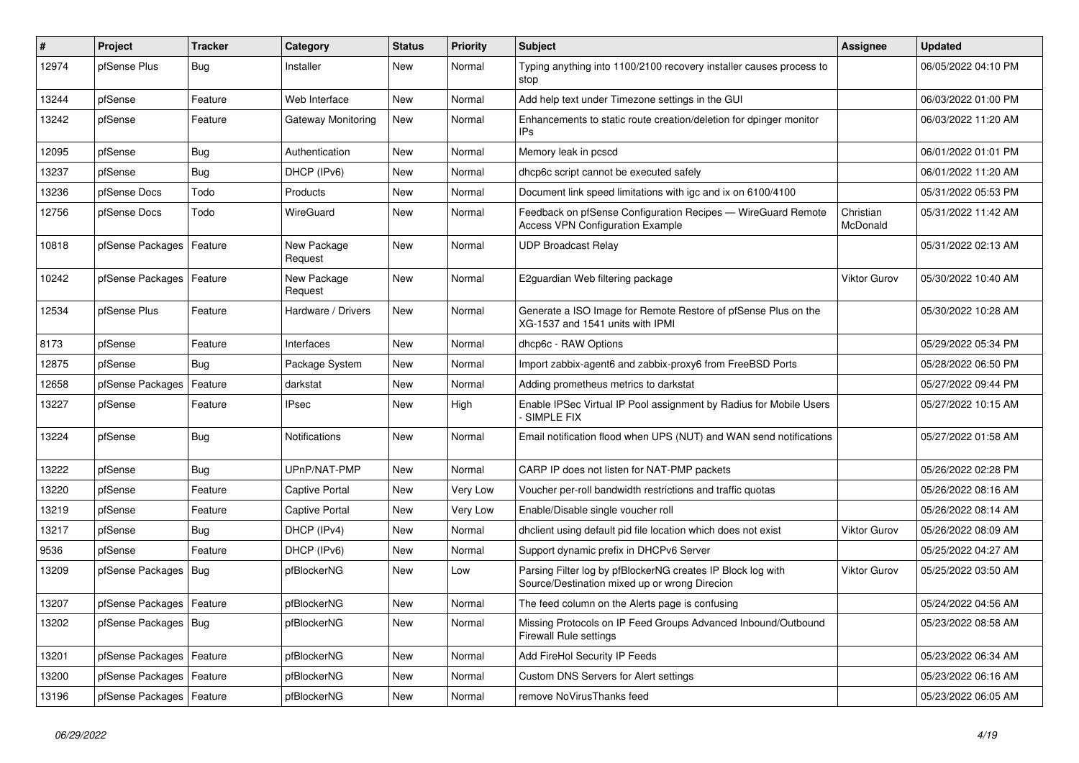| #     | <b>Project</b>             | <b>Tracker</b> | Category               | <b>Status</b> | <b>Priority</b> | <b>Subject</b>                                                                                               | <b>Assignee</b>       | <b>Updated</b>      |
|-------|----------------------------|----------------|------------------------|---------------|-----------------|--------------------------------------------------------------------------------------------------------------|-----------------------|---------------------|
| 12974 | pfSense Plus               | Bua            | Installer              | New           | Normal          | Typing anything into 1100/2100 recovery installer causes process to<br>stop                                  |                       | 06/05/2022 04:10 PM |
| 13244 | pfSense                    | Feature        | Web Interface          | New           | Normal          | Add help text under Timezone settings in the GUI                                                             |                       | 06/03/2022 01:00 PM |
| 13242 | pfSense                    | Feature        | Gateway Monitoring     | New           | Normal          | Enhancements to static route creation/deletion for dpinger monitor<br>IP <sub>s</sub>                        |                       | 06/03/2022 11:20 AM |
| 12095 | pfSense                    | <b>Bug</b>     | Authentication         | <b>New</b>    | Normal          | Memory leak in pcscd                                                                                         |                       | 06/01/2022 01:01 PM |
| 13237 | pfSense                    | Bug            | DHCP (IPv6)            | New           | Normal          | dhcp6c script cannot be executed safely                                                                      |                       | 06/01/2022 11:20 AM |
| 13236 | pfSense Docs               | Todo           | Products               | New           | Normal          | Document link speed limitations with igc and ix on 6100/4100                                                 |                       | 05/31/2022 05:53 PM |
| 12756 | pfSense Docs               | Todo           | <b>WireGuard</b>       | New           | Normal          | Feedback on pfSense Configuration Recipes - WireGuard Remote<br><b>Access VPN Configuration Example</b>      | Christian<br>McDonald | 05/31/2022 11:42 AM |
| 10818 | pfSense Packages           | Feature        | New Package<br>Request | New           | Normal          | <b>UDP Broadcast Relay</b>                                                                                   |                       | 05/31/2022 02:13 AM |
| 10242 | pfSense Packages           | Feature        | New Package<br>Request | <b>New</b>    | Normal          | E2guardian Web filtering package                                                                             | Viktor Gurov          | 05/30/2022 10:40 AM |
| 12534 | pfSense Plus               | Feature        | Hardware / Drivers     | New           | Normal          | Generate a ISO Image for Remote Restore of pfSense Plus on the<br>XG-1537 and 1541 units with IPMI           |                       | 05/30/2022 10:28 AM |
| 8173  | pfSense                    | Feature        | Interfaces             | New           | Normal          | dhcp6c - RAW Options                                                                                         |                       | 05/29/2022 05:34 PM |
| 12875 | pfSense                    | <b>Bug</b>     | Package System         | New           | Normal          | Import zabbix-agent6 and zabbix-proxy6 from FreeBSD Ports                                                    |                       | 05/28/2022 06:50 PM |
| 12658 | pfSense Packages           | Feature        | darkstat               | New           | Normal          | Adding prometheus metrics to darkstat                                                                        |                       | 05/27/2022 09:44 PM |
| 13227 | pfSense                    | Feature        | <b>IPsec</b>           | New           | High            | Enable IPSec Virtual IP Pool assignment by Radius for Mobile Users<br><b>SIMPLE FIX</b>                      |                       | 05/27/2022 10:15 AM |
| 13224 | pfSense                    | <b>Bug</b>     | Notifications          | <b>New</b>    | Normal          | Email notification flood when UPS (NUT) and WAN send notifications                                           |                       | 05/27/2022 01:58 AM |
| 13222 | pfSense                    | Bug            | UPnP/NAT-PMP           | New           | Normal          | CARP IP does not listen for NAT-PMP packets                                                                  |                       | 05/26/2022 02:28 PM |
| 13220 | pfSense                    | Feature        | <b>Captive Portal</b>  | New           | Very Low        | Voucher per-roll bandwidth restrictions and traffic quotas                                                   |                       | 05/26/2022 08:16 AM |
| 13219 | pfSense                    | Feature        | <b>Captive Portal</b>  | New           | Very Low        | Enable/Disable single voucher roll                                                                           |                       | 05/26/2022 08:14 AM |
| 13217 | pfSense                    | Bug            | DHCP (IPv4)            | New           | Normal          | dhclient using default pid file location which does not exist                                                | <b>Viktor Gurov</b>   | 05/26/2022 08:09 AM |
| 9536  | pfSense                    | Feature        | DHCP (IPv6)            | New           | Normal          | Support dynamic prefix in DHCPv6 Server                                                                      |                       | 05/25/2022 04:27 AM |
| 13209 | pfSense Packages           | Bug            | pfBlockerNG            | New           | Low             | Parsing Filter log by pfBlockerNG creates IP Block log with<br>Source/Destination mixed up or wrong Direcion | Viktor Gurov          | 05/25/2022 03:50 AM |
| 13207 | pfSense Packages           | Feature        | pfBlockerNG            | <b>New</b>    | Normal          | The feed column on the Alerts page is confusing                                                              |                       | 05/24/2022 04:56 AM |
| 13202 | pfSense Packages           | Bug            | pfBlockerNG            | <b>New</b>    | Normal          | Missing Protocols on IP Feed Groups Advanced Inbound/Outbound<br><b>Firewall Rule settings</b>               |                       | 05/23/2022 08:58 AM |
| 13201 | pfSense Packages           | Feature        | pfBlockerNG            | New           | Normal          | Add FireHol Security IP Feeds                                                                                |                       | 05/23/2022 06:34 AM |
| 13200 | pfSense Packages           | Feature        | pfBlockerNG            | <b>New</b>    | Normal          | Custom DNS Servers for Alert settings                                                                        |                       | 05/23/2022 06:16 AM |
| 13196 | pfSense Packages   Feature |                | pfBlockerNG            | <b>New</b>    | Normal          | remove NoVirusThanks feed                                                                                    |                       | 05/23/2022 06:05 AM |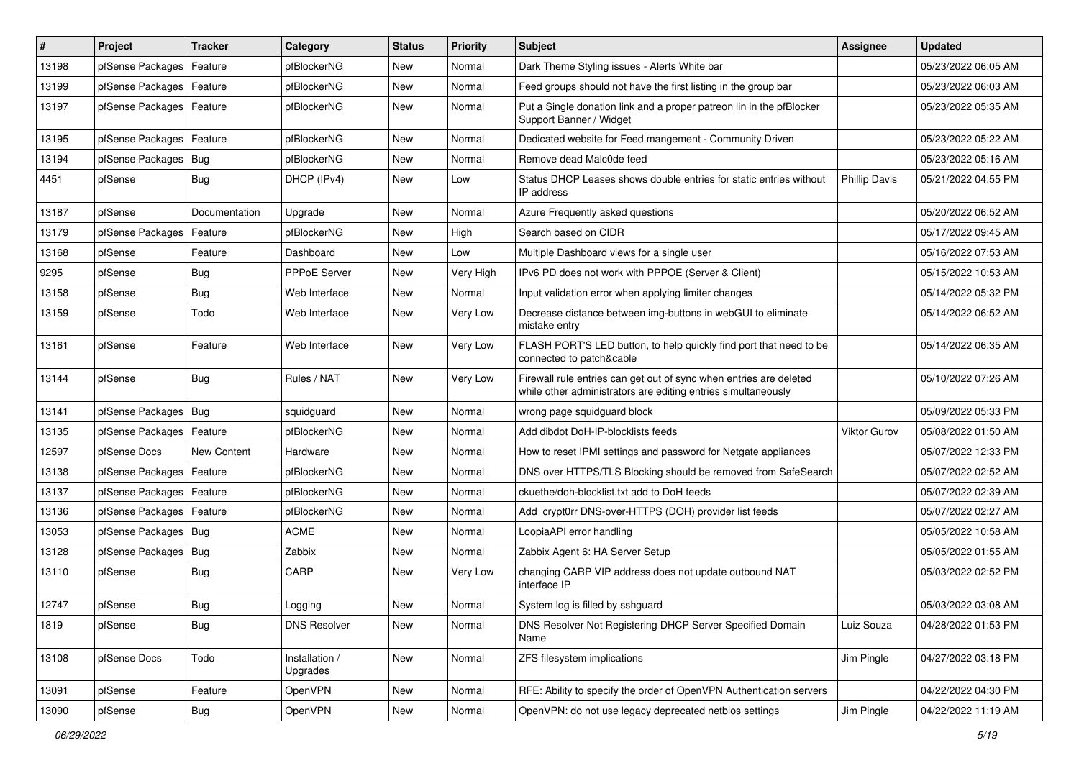| #     | Project                | Tracker       | Category                   | <b>Status</b> | <b>Priority</b> | <b>Subject</b>                                                                                                                      | <b>Assignee</b>      | <b>Updated</b>      |
|-------|------------------------|---------------|----------------------------|---------------|-----------------|-------------------------------------------------------------------------------------------------------------------------------------|----------------------|---------------------|
| 13198 | pfSense Packages       | Feature       | pfBlockerNG                | New           | Normal          | Dark Theme Styling issues - Alerts White bar                                                                                        |                      | 05/23/2022 06:05 AM |
| 13199 | pfSense Packages       | Feature       | pfBlockerNG                | New           | Normal          | Feed groups should not have the first listing in the group bar                                                                      |                      | 05/23/2022 06:03 AM |
| 13197 | pfSense Packages       | Feature       | pfBlockerNG                | New           | Normal          | Put a Single donation link and a proper patreon lin in the pfBlocker<br>Support Banner / Widget                                     |                      | 05/23/2022 05:35 AM |
| 13195 | pfSense Packages       | Feature       | pfBlockerNG                | <b>New</b>    | Normal          | Dedicated website for Feed mangement - Community Driven                                                                             |                      | 05/23/2022 05:22 AM |
| 13194 | pfSense Packages       | Bug           | pfBlockerNG                | New           | Normal          | Remove dead Malc0de feed                                                                                                            |                      | 05/23/2022 05:16 AM |
| 4451  | pfSense                | <b>Bug</b>    | DHCP (IPv4)                | New           | Low             | Status DHCP Leases shows double entries for static entries without<br>IP address                                                    | <b>Phillip Davis</b> | 05/21/2022 04:55 PM |
| 13187 | pfSense                | Documentation | Upgrade                    | New           | Normal          | Azure Frequently asked questions                                                                                                    |                      | 05/20/2022 06:52 AM |
| 13179 | pfSense Packages       | Feature       | pfBlockerNG                | New           | High            | Search based on CIDR                                                                                                                |                      | 05/17/2022 09:45 AM |
| 13168 | pfSense                | Feature       | Dashboard                  | New           | Low             | Multiple Dashboard views for a single user                                                                                          |                      | 05/16/2022 07:53 AM |
| 9295  | pfSense                | <b>Bug</b>    | <b>PPPoE Server</b>        | New           | Very High       | IPv6 PD does not work with PPPOE (Server & Client)                                                                                  |                      | 05/15/2022 10:53 AM |
| 13158 | pfSense                | <b>Bug</b>    | Web Interface              | <b>New</b>    | Normal          | Input validation error when applying limiter changes                                                                                |                      | 05/14/2022 05:32 PM |
| 13159 | pfSense                | Todo          | Web Interface              | New           | Very Low        | Decrease distance between img-buttons in webGUI to eliminate<br>mistake entry                                                       |                      | 05/14/2022 06:52 AM |
| 13161 | pfSense                | Feature       | Web Interface              | New           | Very Low        | FLASH PORT'S LED button, to help quickly find port that need to be<br>connected to patch&cable                                      |                      | 05/14/2022 06:35 AM |
| 13144 | pfSense                | <b>Bug</b>    | Rules / NAT                | New           | Very Low        | Firewall rule entries can get out of sync when entries are deleted<br>while other administrators are editing entries simultaneously |                      | 05/10/2022 07:26 AM |
| 13141 | pfSense Packages   Bug |               | squidguard                 | New           | Normal          | wrong page squidguard block                                                                                                         |                      | 05/09/2022 05:33 PM |
| 13135 | pfSense Packages       | Feature       | pfBlockerNG                | <b>New</b>    | Normal          | Add dibdot DoH-IP-blocklists feeds                                                                                                  | Viktor Gurov         | 05/08/2022 01:50 AM |
| 12597 | pfSense Docs           | New Content   | Hardware                   | New           | Normal          | How to reset IPMI settings and password for Netgate appliances                                                                      |                      | 05/07/2022 12:33 PM |
| 13138 | pfSense Packages       | Feature       | pfBlockerNG                | New           | Normal          | DNS over HTTPS/TLS Blocking should be removed from SafeSearch                                                                       |                      | 05/07/2022 02:52 AM |
| 13137 | pfSense Packages       | Feature       | pfBlockerNG                | New           | Normal          | ckuethe/doh-blocklist.txt add to DoH feeds                                                                                          |                      | 05/07/2022 02:39 AM |
| 13136 | pfSense Packages       | Feature       | pfBlockerNG                | New           | Normal          | Add crypt0rr DNS-over-HTTPS (DOH) provider list feeds                                                                               |                      | 05/07/2022 02:27 AM |
| 13053 | pfSense Packages       | Bug           | <b>ACME</b>                | New           | Normal          | LoopiaAPI error handling                                                                                                            |                      | 05/05/2022 10:58 AM |
| 13128 | pfSense Packages       | Bug           | Zabbix                     | New           | Normal          | Zabbix Agent 6: HA Server Setup                                                                                                     |                      | 05/05/2022 01:55 AM |
| 13110 | pfSense                | <b>Bug</b>    | CARP                       | New           | Very Low        | changing CARP VIP address does not update outbound NAT<br>interface IP                                                              |                      | 05/03/2022 02:52 PM |
| 12747 | pfSense                | Bug           | Logging                    | New           | Normal          | System log is filled by sshouard                                                                                                    |                      | 05/03/2022 03:08 AM |
| 1819  | pfSense                | Bug           | <b>DNS Resolver</b>        | New           | Normal          | DNS Resolver Not Registering DHCP Server Specified Domain<br>Name                                                                   | Luiz Souza           | 04/28/2022 01:53 PM |
| 13108 | pfSense Docs           | Todo          | Installation /<br>Upgrades | New           | Normal          | ZFS filesystem implications                                                                                                         | Jim Pingle           | 04/27/2022 03:18 PM |
| 13091 | pfSense                | Feature       | OpenVPN                    | New           | Normal          | RFE: Ability to specify the order of OpenVPN Authentication servers                                                                 |                      | 04/22/2022 04:30 PM |
| 13090 | pfSense                | Bug           | OpenVPN                    | New           | Normal          | OpenVPN: do not use legacy deprecated netbios settings                                                                              | Jim Pingle           | 04/22/2022 11:19 AM |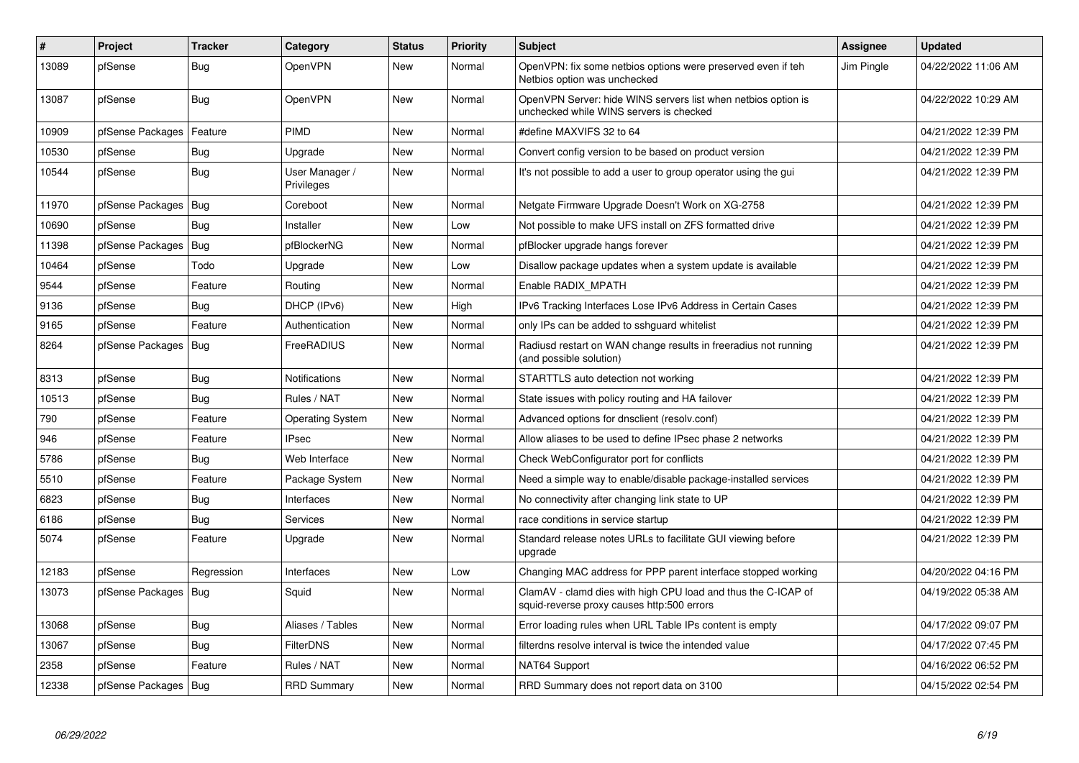| $\vert$ # | Project                | <b>Tracker</b> | Category                     | <b>Status</b> | <b>Priority</b> | <b>Subject</b>                                                                                              | <b>Assignee</b> | <b>Updated</b>      |
|-----------|------------------------|----------------|------------------------------|---------------|-----------------|-------------------------------------------------------------------------------------------------------------|-----------------|---------------------|
| 13089     | pfSense                | Bug            | OpenVPN                      | New           | Normal          | OpenVPN: fix some netbios options were preserved even if teh<br>Netbios option was unchecked                | Jim Pingle      | 04/22/2022 11:06 AM |
| 13087     | pfSense                | <b>Bug</b>     | OpenVPN                      | New           | Normal          | OpenVPN Server: hide WINS servers list when netbios option is<br>unchecked while WINS servers is checked    |                 | 04/22/2022 10:29 AM |
| 10909     | pfSense Packages       | Feature        | PIMD                         | New           | Normal          | #define MAXVIFS 32 to 64                                                                                    |                 | 04/21/2022 12:39 PM |
| 10530     | pfSense                | Bug            | Upgrade                      | <b>New</b>    | Normal          | Convert config version to be based on product version                                                       |                 | 04/21/2022 12:39 PM |
| 10544     | pfSense                | <b>Bug</b>     | User Manager /<br>Privileges | <b>New</b>    | Normal          | It's not possible to add a user to group operator using the gui                                             |                 | 04/21/2022 12:39 PM |
| 11970     | pfSense Packages   Bug |                | Coreboot                     | <b>New</b>    | Normal          | Netgate Firmware Upgrade Doesn't Work on XG-2758                                                            |                 | 04/21/2022 12:39 PM |
| 10690     | pfSense                | Bug            | Installer                    | <b>New</b>    | Low             | Not possible to make UFS install on ZFS formatted drive                                                     |                 | 04/21/2022 12:39 PM |
| 11398     | pfSense Packages   Bug |                | pfBlockerNG                  | <b>New</b>    | Normal          | pfBlocker upgrade hangs forever                                                                             |                 | 04/21/2022 12:39 PM |
| 10464     | pfSense                | Todo           | Upgrade                      | New           | Low             | Disallow package updates when a system update is available                                                  |                 | 04/21/2022 12:39 PM |
| 9544      | pfSense                | Feature        | Routing                      | <b>New</b>    | Normal          | Enable RADIX MPATH                                                                                          |                 | 04/21/2022 12:39 PM |
| 9136      | pfSense                | Bug            | DHCP (IPv6)                  | New           | High            | IPv6 Tracking Interfaces Lose IPv6 Address in Certain Cases                                                 |                 | 04/21/2022 12:39 PM |
| 9165      | pfSense                | Feature        | Authentication               | New           | Normal          | only IPs can be added to sshguard whitelist                                                                 |                 | 04/21/2022 12:39 PM |
| 8264      | pfSense Packages   Bug |                | FreeRADIUS                   | New           | Normal          | Radiusd restart on WAN change results in freeradius not running<br>(and possible solution)                  |                 | 04/21/2022 12:39 PM |
| 8313      | pfSense                | <b>Bug</b>     | <b>Notifications</b>         | <b>New</b>    | Normal          | STARTTLS auto detection not working                                                                         |                 | 04/21/2022 12:39 PM |
| 10513     | pfSense                | <b>Bug</b>     | Rules / NAT                  | New           | Normal          | State issues with policy routing and HA failover                                                            |                 | 04/21/2022 12:39 PM |
| 790       | pfSense                | Feature        | <b>Operating System</b>      | New           | Normal          | Advanced options for dnsclient (resolv.conf)                                                                |                 | 04/21/2022 12:39 PM |
| 946       | pfSense                | Feature        | <b>IPsec</b>                 | New           | Normal          | Allow aliases to be used to define IPsec phase 2 networks                                                   |                 | 04/21/2022 12:39 PM |
| 5786      | pfSense                | <b>Bug</b>     | Web Interface                | New           | Normal          | Check WebConfigurator port for conflicts                                                                    |                 | 04/21/2022 12:39 PM |
| 5510      | pfSense                | Feature        | Package System               | New           | Normal          | Need a simple way to enable/disable package-installed services                                              |                 | 04/21/2022 12:39 PM |
| 6823      | pfSense                | <b>Bug</b>     | Interfaces                   | New           | Normal          | No connectivity after changing link state to UP                                                             |                 | 04/21/2022 12:39 PM |
| 6186      | pfSense                | <b>Bug</b>     | <b>Services</b>              | <b>New</b>    | Normal          | race conditions in service startup                                                                          |                 | 04/21/2022 12:39 PM |
| 5074      | pfSense                | Feature        | Upgrade                      | New           | Normal          | Standard release notes URLs to facilitate GUI viewing before<br>upgrade                                     |                 | 04/21/2022 12:39 PM |
| 12183     | pfSense                | Regression     | Interfaces                   | New           | Low             | Changing MAC address for PPP parent interface stopped working                                               |                 | 04/20/2022 04:16 PM |
| 13073     | pfSense Packages   Bug |                | Squid                        | New           | Normal          | ClamAV - clamd dies with high CPU load and thus the C-ICAP of<br>squid-reverse proxy causes http:500 errors |                 | 04/19/2022 05:38 AM |
| 13068     | pfSense                | Bug            | Aliases / Tables             | New           | Normal          | Error loading rules when URL Table IPs content is empty                                                     |                 | 04/17/2022 09:07 PM |
| 13067     | pfSense                | <b>Bug</b>     | <b>FilterDNS</b>             | New           | Normal          | filterdns resolve interval is twice the intended value                                                      |                 | 04/17/2022 07:45 PM |
| 2358      | pfSense                | Feature        | Rules / NAT                  | New           | Normal          | NAT64 Support                                                                                               |                 | 04/16/2022 06:52 PM |
| 12338     | pfSense Packages   Bug |                | <b>RRD Summary</b>           | New           | Normal          | RRD Summary does not report data on 3100                                                                    |                 | 04/15/2022 02:54 PM |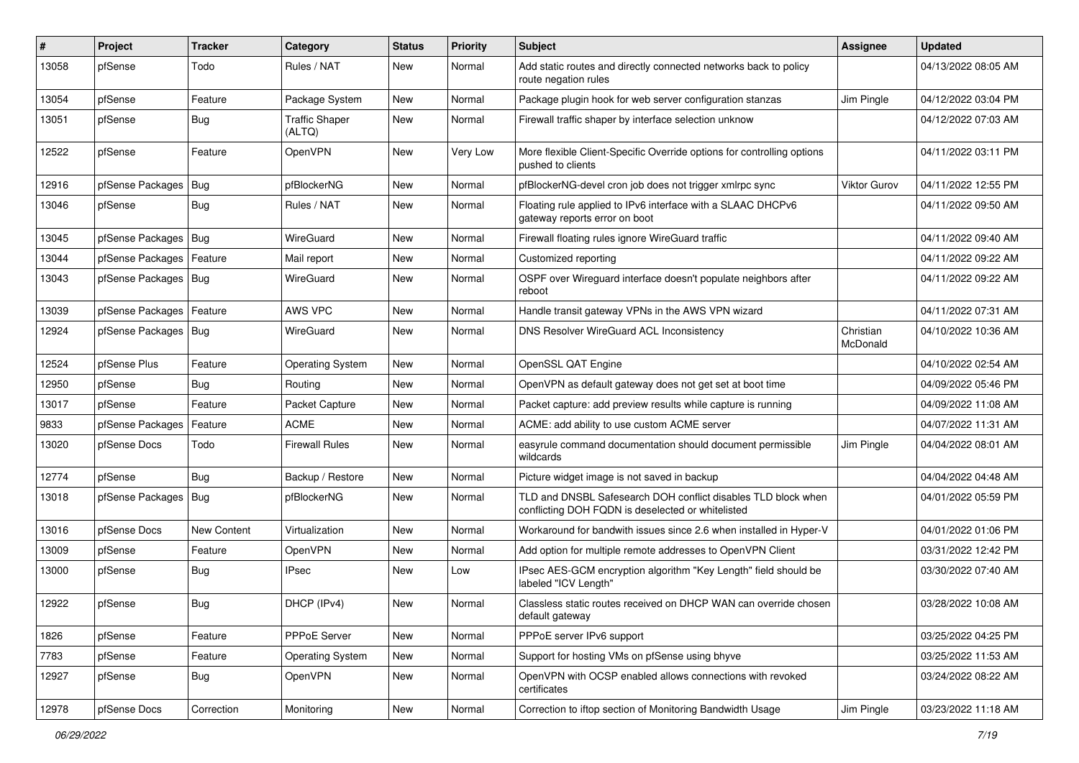| $\#$  | Project                    | <b>Tracker</b> | Category                        | <b>Status</b> | <b>Priority</b> | Subject                                                                                                            | <b>Assignee</b>       | <b>Updated</b>      |
|-------|----------------------------|----------------|---------------------------------|---------------|-----------------|--------------------------------------------------------------------------------------------------------------------|-----------------------|---------------------|
| 13058 | pfSense                    | Todo           | Rules / NAT                     | New           | Normal          | Add static routes and directly connected networks back to policy<br>route negation rules                           |                       | 04/13/2022 08:05 AM |
| 13054 | pfSense                    | Feature        | Package System                  | New           | Normal          | Package plugin hook for web server configuration stanzas                                                           | Jim Pingle            | 04/12/2022 03:04 PM |
| 13051 | pfSense                    | <b>Bug</b>     | <b>Traffic Shaper</b><br>(ALTQ) | <b>New</b>    | Normal          | Firewall traffic shaper by interface selection unknow                                                              |                       | 04/12/2022 07:03 AM |
| 12522 | pfSense                    | Feature        | OpenVPN                         | New           | Very Low        | More flexible Client-Specific Override options for controlling options<br>pushed to clients                        |                       | 04/11/2022 03:11 PM |
| 12916 | pfSense Packages           | Bug            | pfBlockerNG                     | New           | Normal          | pfBlockerNG-devel cron job does not trigger xmlrpc sync                                                            | <b>Viktor Gurov</b>   | 04/11/2022 12:55 PM |
| 13046 | pfSense                    | <b>Bug</b>     | Rules / NAT                     | New           | Normal          | Floating rule applied to IPv6 interface with a SLAAC DHCPv6<br>gateway reports error on boot                       |                       | 04/11/2022 09:50 AM |
| 13045 | pfSense Packages           | Bug            | WireGuard                       | New           | Normal          | Firewall floating rules ignore WireGuard traffic                                                                   |                       | 04/11/2022 09:40 AM |
| 13044 | pfSense Packages   Feature |                | Mail report                     | New           | Normal          | Customized reporting                                                                                               |                       | 04/11/2022 09:22 AM |
| 13043 | pfSense Packages   Bug     |                | WireGuard                       | New           | Normal          | OSPF over Wireguard interface doesn't populate neighbors after<br>reboot                                           |                       | 04/11/2022 09:22 AM |
| 13039 | pfSense Packages   Feature |                | AWS VPC                         | New           | Normal          | Handle transit gateway VPNs in the AWS VPN wizard                                                                  |                       | 04/11/2022 07:31 AM |
| 12924 | pfSense Packages   Bug     |                | WireGuard                       | New           | Normal          | DNS Resolver WireGuard ACL Inconsistency                                                                           | Christian<br>McDonald | 04/10/2022 10:36 AM |
| 12524 | pfSense Plus               | Feature        | <b>Operating System</b>         | New           | Normal          | OpenSSL QAT Engine                                                                                                 |                       | 04/10/2022 02:54 AM |
| 12950 | pfSense                    | Bug            | Routing                         | New           | Normal          | OpenVPN as default gateway does not get set at boot time                                                           |                       | 04/09/2022 05:46 PM |
| 13017 | pfSense                    | Feature        | Packet Capture                  | New           | Normal          | Packet capture: add preview results while capture is running                                                       |                       | 04/09/2022 11:08 AM |
| 9833  | pfSense Packages           | Feature        | <b>ACME</b>                     | New           | Normal          | ACME: add ability to use custom ACME server                                                                        |                       | 04/07/2022 11:31 AM |
| 13020 | pfSense Docs               | Todo           | <b>Firewall Rules</b>           | New           | Normal          | easyrule command documentation should document permissible<br>wildcards                                            | Jim Pingle            | 04/04/2022 08:01 AM |
| 12774 | pfSense                    | Bug            | Backup / Restore                | New           | Normal          | Picture widget image is not saved in backup                                                                        |                       | 04/04/2022 04:48 AM |
| 13018 | pfSense Packages           | Bug            | pfBlockerNG                     | New           | Normal          | TLD and DNSBL Safesearch DOH conflict disables TLD block when<br>conflicting DOH FQDN is deselected or whitelisted |                       | 04/01/2022 05:59 PM |
| 13016 | pfSense Docs               | New Content    | Virtualization                  | <b>New</b>    | Normal          | Workaround for bandwith issues since 2.6 when installed in Hyper-V                                                 |                       | 04/01/2022 01:06 PM |
| 13009 | pfSense                    | Feature        | OpenVPN                         | New           | Normal          | Add option for multiple remote addresses to OpenVPN Client                                                         |                       | 03/31/2022 12:42 PM |
| 13000 | pfSense                    | Bug            | <b>IPsec</b>                    | New           | Low             | IPsec AES-GCM encryption algorithm "Key Length" field should be<br>labeled "ICV Length"                            |                       | 03/30/2022 07:40 AM |
| 12922 | pfSense                    | Bug            | DHCP (IPv4)                     | New           | Normal          | Classless static routes received on DHCP WAN can override chosen<br>default gateway                                |                       | 03/28/2022 10:08 AM |
| 1826  | pfSense                    | Feature        | PPPoE Server                    | New           | Normal          | PPPoE server IPv6 support                                                                                          |                       | 03/25/2022 04:25 PM |
| 7783  | pfSense                    | Feature        | <b>Operating System</b>         | New           | Normal          | Support for hosting VMs on pfSense using bhyve                                                                     |                       | 03/25/2022 11:53 AM |
| 12927 | pfSense                    | <b>Bug</b>     | OpenVPN                         | New           | Normal          | OpenVPN with OCSP enabled allows connections with revoked<br>certificates                                          |                       | 03/24/2022 08:22 AM |
| 12978 | pfSense Docs               | Correction     | Monitoring                      | New           | Normal          | Correction to iftop section of Monitoring Bandwidth Usage                                                          | Jim Pingle            | 03/23/2022 11:18 AM |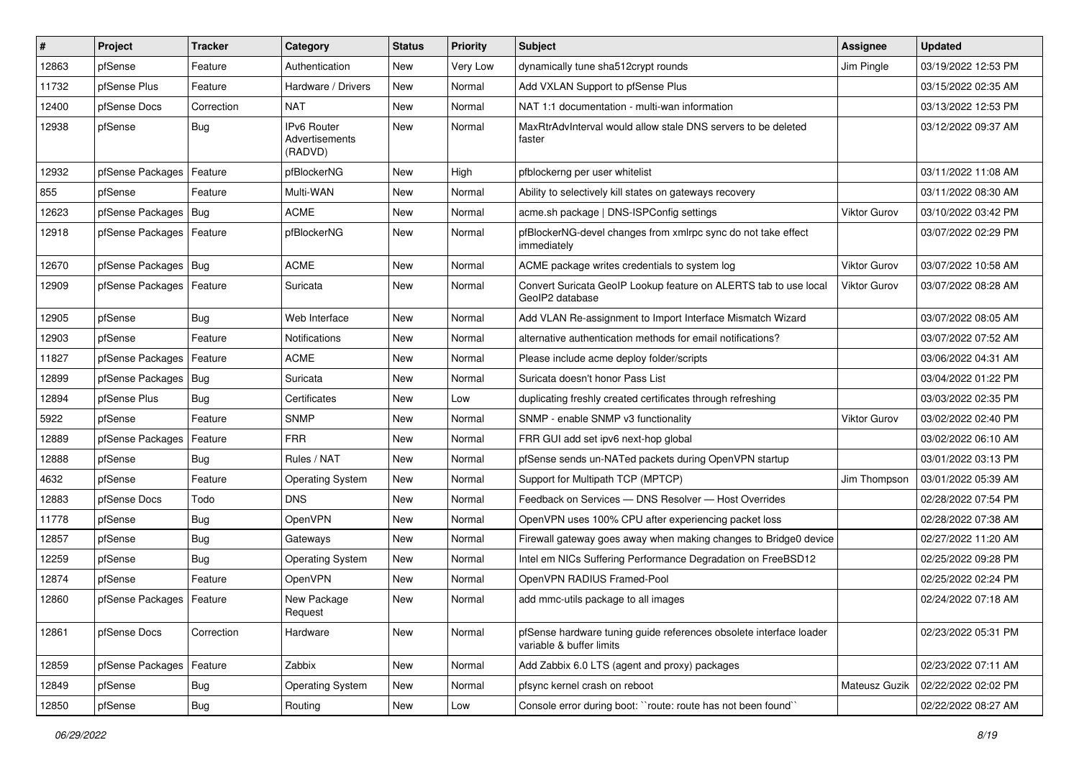| $\vert$ # | Project                    | <b>Tracker</b> | Category                                        | <b>Status</b> | <b>Priority</b> | <b>Subject</b>                                                                                 | <b>Assignee</b> | <b>Updated</b>      |
|-----------|----------------------------|----------------|-------------------------------------------------|---------------|-----------------|------------------------------------------------------------------------------------------------|-----------------|---------------------|
| 12863     | pfSense                    | Feature        | Authentication                                  | New           | Very Low        | dynamically tune sha512crypt rounds                                                            | Jim Pingle      | 03/19/2022 12:53 PM |
| 11732     | pfSense Plus               | Feature        | Hardware / Drivers                              | New           | Normal          | Add VXLAN Support to pfSense Plus                                                              |                 | 03/15/2022 02:35 AM |
| 12400     | pfSense Docs               | Correction     | <b>NAT</b>                                      | New           | Normal          | NAT 1:1 documentation - multi-wan information                                                  |                 | 03/13/2022 12:53 PM |
| 12938     | pfSense                    | <b>Bug</b>     | <b>IPv6 Router</b><br>Advertisements<br>(RADVD) | New           | Normal          | MaxRtrAdvInterval would allow stale DNS servers to be deleted<br>faster                        |                 | 03/12/2022 09:37 AM |
| 12932     | pfSense Packages   Feature |                | pfBlockerNG                                     | New           | High            | pfblockerng per user whitelist                                                                 |                 | 03/11/2022 11:08 AM |
| 855       | pfSense                    | Feature        | Multi-WAN                                       | <b>New</b>    | Normal          | Ability to selectively kill states on gateways recovery                                        |                 | 03/11/2022 08:30 AM |
| 12623     | pfSense Packages   Bug     |                | <b>ACME</b>                                     | New           | Normal          | acme.sh package   DNS-ISPConfig settings                                                       | Viktor Gurov    | 03/10/2022 03:42 PM |
| 12918     | pfSense Packages   Feature |                | pfBlockerNG                                     | New           | Normal          | pfBlockerNG-devel changes from xmlrpc sync do not take effect<br>immediately                   |                 | 03/07/2022 02:29 PM |
| 12670     | pfSense Packages   Bug     |                | <b>ACME</b>                                     | New           | Normal          | ACME package writes credentials to system log                                                  | Viktor Gurov    | 03/07/2022 10:58 AM |
| 12909     | pfSense Packages   Feature |                | Suricata                                        | New           | Normal          | Convert Suricata GeoIP Lookup feature on ALERTS tab to use local<br>GeoIP2 database            | Viktor Gurov    | 03/07/2022 08:28 AM |
| 12905     | pfSense                    | Bug            | Web Interface                                   | New           | Normal          | Add VLAN Re-assignment to Import Interface Mismatch Wizard                                     |                 | 03/07/2022 08:05 AM |
| 12903     | pfSense                    | Feature        | <b>Notifications</b>                            | New           | Normal          | alternative authentication methods for email notifications?                                    |                 | 03/07/2022 07:52 AM |
| 11827     | pfSense Packages           | Feature        | <b>ACME</b>                                     | New           | Normal          | Please include acme deploy folder/scripts                                                      |                 | 03/06/2022 04:31 AM |
| 12899     | pfSense Packages   Bug     |                | Suricata                                        | New           | Normal          | Suricata doesn't honor Pass List                                                               |                 | 03/04/2022 01:22 PM |
| 12894     | pfSense Plus               | Bug            | Certificates                                    | New           | Low             | duplicating freshly created certificates through refreshing                                    |                 | 03/03/2022 02:35 PM |
| 5922      | pfSense                    | Feature        | <b>SNMP</b>                                     | New           | Normal          | SNMP - enable SNMP v3 functionality                                                            | Viktor Gurov    | 03/02/2022 02:40 PM |
| 12889     | pfSense Packages           | Feature        | <b>FRR</b>                                      | <b>New</b>    | Normal          | FRR GUI add set ipv6 next-hop global                                                           |                 | 03/02/2022 06:10 AM |
| 12888     | pfSense                    | Bug            | Rules / NAT                                     | New           | Normal          | pfSense sends un-NATed packets during OpenVPN startup                                          |                 | 03/01/2022 03:13 PM |
| 4632      | pfSense                    | Feature        | <b>Operating System</b>                         | New           | Normal          | Support for Multipath TCP (MPTCP)                                                              | Jim Thompson    | 03/01/2022 05:39 AM |
| 12883     | pfSense Docs               | Todo           | <b>DNS</b>                                      | New           | Normal          | Feedback on Services - DNS Resolver - Host Overrides                                           |                 | 02/28/2022 07:54 PM |
| 11778     | pfSense                    | Bug            | OpenVPN                                         | New           | Normal          | OpenVPN uses 100% CPU after experiencing packet loss                                           |                 | 02/28/2022 07:38 AM |
| 12857     | pfSense                    | Bug            | Gateways                                        | New           | Normal          | Firewall gateway goes away when making changes to Bridge0 device                               |                 | 02/27/2022 11:20 AM |
| 12259     | pfSense                    | Bug            | <b>Operating System</b>                         | New           | Normal          | Intel em NICs Suffering Performance Degradation on FreeBSD12                                   |                 | 02/25/2022 09:28 PM |
| 12874     | pfSense                    | Feature        | OpenVPN                                         | New           | Normal          | OpenVPN RADIUS Framed-Pool                                                                     |                 | 02/25/2022 02:24 PM |
| 12860     | pfSense Packages   Feature |                | New Package<br>Request                          | New           | Normal          | add mmc-utils package to all images                                                            |                 | 02/24/2022 07:18 AM |
| 12861     | pfSense Docs               | Correction     | Hardware                                        | <b>New</b>    | Normal          | pfSense hardware tuning guide references obsolete interface loader<br>variable & buffer limits |                 | 02/23/2022 05:31 PM |
| 12859     | pfSense Packages   Feature |                | Zabbix                                          | New           | Normal          | Add Zabbix 6.0 LTS (agent and proxy) packages                                                  |                 | 02/23/2022 07:11 AM |
| 12849     | pfSense                    | <b>Bug</b>     | <b>Operating System</b>                         | <b>New</b>    | Normal          | pfsync kernel crash on reboot                                                                  | Mateusz Guzik   | 02/22/2022 02:02 PM |
| 12850     | pfSense                    | Bug            | Routing                                         | New           | Low             | Console error during boot: "route: route has not been found"                                   |                 | 02/22/2022 08:27 AM |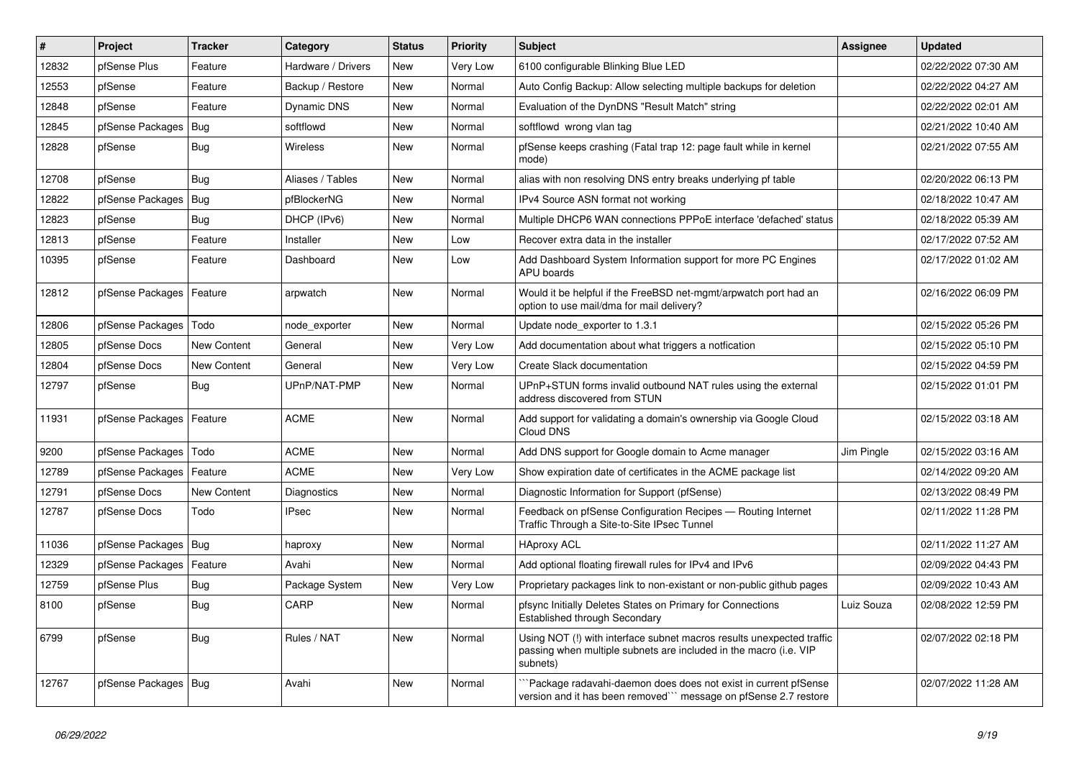| $\vert$ # | Project                    | <b>Tracker</b> | Category           | <b>Status</b> | Priority | <b>Subject</b>                                                                                                                                         | <b>Assignee</b> | <b>Updated</b>      |
|-----------|----------------------------|----------------|--------------------|---------------|----------|--------------------------------------------------------------------------------------------------------------------------------------------------------|-----------------|---------------------|
| 12832     | pfSense Plus               | Feature        | Hardware / Drivers | <b>New</b>    | Very Low | 6100 configurable Blinking Blue LED                                                                                                                    |                 | 02/22/2022 07:30 AM |
| 12553     | pfSense                    | Feature        | Backup / Restore   | <b>New</b>    | Normal   | Auto Config Backup: Allow selecting multiple backups for deletion                                                                                      |                 | 02/22/2022 04:27 AM |
| 12848     | pfSense                    | Feature        | Dynamic DNS        | New           | Normal   | Evaluation of the DynDNS "Result Match" string                                                                                                         |                 | 02/22/2022 02:01 AM |
| 12845     | pfSense Packages           | Bug            | softflowd          | <b>New</b>    | Normal   | softflowd wrong vlan tag                                                                                                                               |                 | 02/21/2022 10:40 AM |
| 12828     | pfSense                    | <b>Bug</b>     | <b>Wireless</b>    | <b>New</b>    | Normal   | pfSense keeps crashing (Fatal trap 12: page fault while in kernel<br>mode)                                                                             |                 | 02/21/2022 07:55 AM |
| 12708     | pfSense                    | <b>Bug</b>     | Aliases / Tables   | New           | Normal   | alias with non resolving DNS entry breaks underlying pf table                                                                                          |                 | 02/20/2022 06:13 PM |
| 12822     | pfSense Packages           | <b>Bug</b>     | pfBlockerNG        | <b>New</b>    | Normal   | IPv4 Source ASN format not working                                                                                                                     |                 | 02/18/2022 10:47 AM |
| 12823     | pfSense                    | <b>Bug</b>     | DHCP (IPv6)        | New           | Normal   | Multiple DHCP6 WAN connections PPPoE interface 'defached' status                                                                                       |                 | 02/18/2022 05:39 AM |
| 12813     | pfSense                    | Feature        | Installer          | New           | Low      | Recover extra data in the installer                                                                                                                    |                 | 02/17/2022 07:52 AM |
| 10395     | pfSense                    | Feature        | Dashboard          | New           | Low      | Add Dashboard System Information support for more PC Engines<br>APU boards                                                                             |                 | 02/17/2022 01:02 AM |
| 12812     | pfSense Packages   Feature |                | arpwatch           | <b>New</b>    | Normal   | Would it be helpful if the FreeBSD net-mgmt/arpwatch port had an<br>option to use mail/dma for mail delivery?                                          |                 | 02/16/2022 06:09 PM |
| 12806     | pfSense Packages           | Todo           | node exporter      | <b>New</b>    | Normal   | Update node exporter to 1.3.1                                                                                                                          |                 | 02/15/2022 05:26 PM |
| 12805     | pfSense Docs               | New Content    | General            | <b>New</b>    | Very Low | Add documentation about what triggers a notfication                                                                                                    |                 | 02/15/2022 05:10 PM |
| 12804     | pfSense Docs               | New Content    | General            | New           | Very Low | Create Slack documentation                                                                                                                             |                 | 02/15/2022 04:59 PM |
| 12797     | pfSense                    | Bug            | UPnP/NAT-PMP       | <b>New</b>    | Normal   | UPnP+STUN forms invalid outbound NAT rules using the external<br>address discovered from STUN                                                          |                 | 02/15/2022 01:01 PM |
| 11931     | pfSense Packages   Feature |                | <b>ACME</b>        | New           | Normal   | Add support for validating a domain's ownership via Google Cloud<br>Cloud DNS                                                                          |                 | 02/15/2022 03:18 AM |
| 9200      | pfSense Packages   Todo    |                | <b>ACME</b>        | <b>New</b>    | Normal   | Add DNS support for Google domain to Acme manager                                                                                                      | Jim Pingle      | 02/15/2022 03:16 AM |
| 12789     | pfSense Packages   Feature |                | <b>ACME</b>        | New           | Very Low | Show expiration date of certificates in the ACME package list                                                                                          |                 | 02/14/2022 09:20 AM |
| 12791     | pfSense Docs               | New Content    | Diagnostics        | New           | Normal   | Diagnostic Information for Support (pfSense)                                                                                                           |                 | 02/13/2022 08:49 PM |
| 12787     | pfSense Docs               | Todo           | <b>IPsec</b>       | New           | Normal   | Feedback on pfSense Configuration Recipes - Routing Internet<br>Traffic Through a Site-to-Site IPsec Tunnel                                            |                 | 02/11/2022 11:28 PM |
| 11036     | pfSense Packages   Bug     |                | haproxy            | <b>New</b>    | Normal   | <b>HAproxy ACL</b>                                                                                                                                     |                 | 02/11/2022 11:27 AM |
| 12329     | pfSense Packages           | Feature        | Avahi              | <b>New</b>    | Normal   | Add optional floating firewall rules for IPv4 and IPv6                                                                                                 |                 | 02/09/2022 04:43 PM |
| 12759     | pfSense Plus               | <b>Bug</b>     | Package System     | <b>New</b>    | Very Low | Proprietary packages link to non-existant or non-public github pages                                                                                   |                 | 02/09/2022 10:43 AM |
| 8100      | pfSense                    | Bug            | CARP               | <b>New</b>    | Normal   | pfsync Initially Deletes States on Primary for Connections<br>Established through Secondary                                                            | Luiz Souza      | 02/08/2022 12:59 PM |
| 6799      | pfSense                    | <b>Bug</b>     | Rules / NAT        | <b>New</b>    | Normal   | Using NOT (!) with interface subnet macros results unexpected traffic<br>passing when multiple subnets are included in the macro (i.e. VIP<br>subnets) |                 | 02/07/2022 02:18 PM |
| 12767     | pfSense Packages   Bug     |                | Avahi              | <b>New</b>    | Normal   | Package radavahi-daemon does does not exist in current pfSense<br>version and it has been removed``` message on pfSense 2.7 restore                    |                 | 02/07/2022 11:28 AM |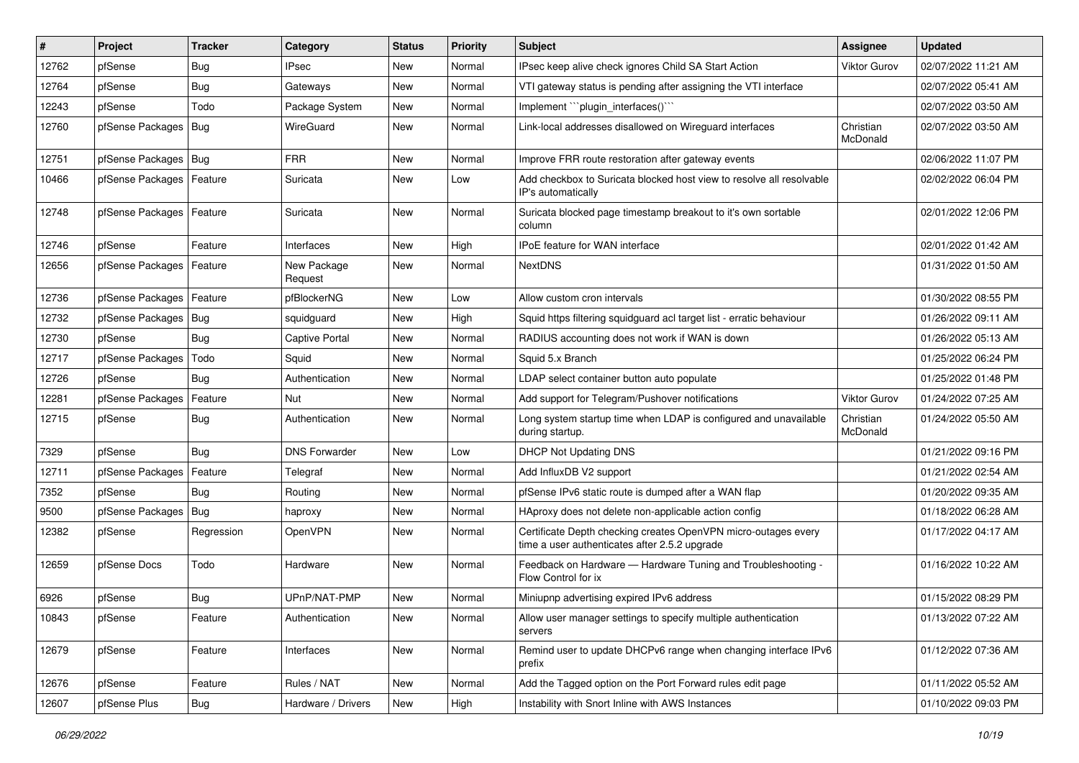| #     | Project                    | <b>Tracker</b> | Category               | <b>Status</b> | <b>Priority</b> | <b>Subject</b>                                                                                                  | Assignee              | <b>Updated</b>      |
|-------|----------------------------|----------------|------------------------|---------------|-----------------|-----------------------------------------------------------------------------------------------------------------|-----------------------|---------------------|
| 12762 | pfSense                    | Bug            | <b>IPsec</b>           | New           | Normal          | IPsec keep alive check ignores Child SA Start Action                                                            | Viktor Gurov          | 02/07/2022 11:21 AM |
| 12764 | pfSense                    | Bug            | Gateways               | <b>New</b>    | Normal          | VTI gateway status is pending after assigning the VTI interface                                                 |                       | 02/07/2022 05:41 AM |
| 12243 | pfSense                    | Todo           | Package System         | New           | Normal          | Implement "plugin_interfaces()"                                                                                 |                       | 02/07/2022 03:50 AM |
| 12760 | pfSense Packages   Bug     |                | WireGuard              | New           | Normal          | Link-local addresses disallowed on Wireguard interfaces                                                         | Christian<br>McDonald | 02/07/2022 03:50 AM |
| 12751 | pfSense Packages   Bug     |                | <b>FRR</b>             | <b>New</b>    | Normal          | Improve FRR route restoration after gateway events                                                              |                       | 02/06/2022 11:07 PM |
| 10466 | pfSense Packages   Feature |                | Suricata               | New           | Low             | Add checkbox to Suricata blocked host view to resolve all resolvable<br>IP's automatically                      |                       | 02/02/2022 06:04 PM |
| 12748 | pfSense Packages   Feature |                | Suricata               | <b>New</b>    | Normal          | Suricata blocked page timestamp breakout to it's own sortable<br>column                                         |                       | 02/01/2022 12:06 PM |
| 12746 | pfSense                    | Feature        | Interfaces             | <b>New</b>    | High            | IPoE feature for WAN interface                                                                                  |                       | 02/01/2022 01:42 AM |
| 12656 | pfSense Packages   Feature |                | New Package<br>Request | New           | Normal          | <b>NextDNS</b>                                                                                                  |                       | 01/31/2022 01:50 AM |
| 12736 | pfSense Packages   Feature |                | pfBlockerNG            | <b>New</b>    | Low             | Allow custom cron intervals                                                                                     |                       | 01/30/2022 08:55 PM |
| 12732 | pfSense Packages   Bug     |                | squidguard             | New           | High            | Squid https filtering squidguard acl target list - erratic behaviour                                            |                       | 01/26/2022 09:11 AM |
| 12730 | pfSense                    | Bug            | <b>Captive Portal</b>  | <b>New</b>    | Normal          | RADIUS accounting does not work if WAN is down                                                                  |                       | 01/26/2022 05:13 AM |
| 12717 | pfSense Packages           | Todo           | Squid                  | New           | Normal          | Squid 5.x Branch                                                                                                |                       | 01/25/2022 06:24 PM |
| 12726 | pfSense                    | Bug            | Authentication         | New           | Normal          | LDAP select container button auto populate                                                                      |                       | 01/25/2022 01:48 PM |
| 12281 | pfSense Packages           | Feature        | Nut                    | New           | Normal          | Add support for Telegram/Pushover notifications                                                                 | Viktor Gurov          | 01/24/2022 07:25 AM |
| 12715 | pfSense                    | <b>Bug</b>     | Authentication         | New           | Normal          | Long system startup time when LDAP is configured and unavailable<br>during startup.                             | Christian<br>McDonald | 01/24/2022 05:50 AM |
| 7329  | pfSense                    | Bug            | <b>DNS Forwarder</b>   | <b>New</b>    | Low             | <b>DHCP Not Updating DNS</b>                                                                                    |                       | 01/21/2022 09:16 PM |
| 12711 | pfSense Packages           | Feature        | Telegraf               | New           | Normal          | Add InfluxDB V2 support                                                                                         |                       | 01/21/2022 02:54 AM |
| 7352  | pfSense                    | Bug            | Routing                | <b>New</b>    | Normal          | pfSense IPv6 static route is dumped after a WAN flap                                                            |                       | 01/20/2022 09:35 AM |
| 9500  | pfSense Packages   Bug     |                | haproxy                | New           | Normal          | HAproxy does not delete non-applicable action config                                                            |                       | 01/18/2022 06:28 AM |
| 12382 | pfSense                    | Regression     | OpenVPN                | New           | Normal          | Certificate Depth checking creates OpenVPN micro-outages every<br>time a user authenticates after 2.5.2 upgrade |                       | 01/17/2022 04:17 AM |
| 12659 | pfSense Docs               | Todo           | Hardware               | New           | Normal          | Feedback on Hardware - Hardware Tuning and Troubleshooting -<br>Flow Control for ix                             |                       | 01/16/2022 10:22 AM |
| 6926  | pfSense                    | <b>Bug</b>     | UPnP/NAT-PMP           | New           | Normal          | Miniupnp advertising expired IPv6 address                                                                       |                       | 01/15/2022 08:29 PM |
| 10843 | pfSense                    | Feature        | Authentication         | New           | Normal          | Allow user manager settings to specify multiple authentication<br>servers                                       |                       | 01/13/2022 07:22 AM |
| 12679 | pfSense                    | Feature        | Interfaces             | New           | Normal          | Remind user to update DHCPv6 range when changing interface IPv6<br>prefix                                       |                       | 01/12/2022 07:36 AM |
| 12676 | pfSense                    | Feature        | Rules / NAT            | New           | Normal          | Add the Tagged option on the Port Forward rules edit page                                                       |                       | 01/11/2022 05:52 AM |
| 12607 | pfSense Plus               | Bug            | Hardware / Drivers     | New           | High            | Instability with Snort Inline with AWS Instances                                                                |                       | 01/10/2022 09:03 PM |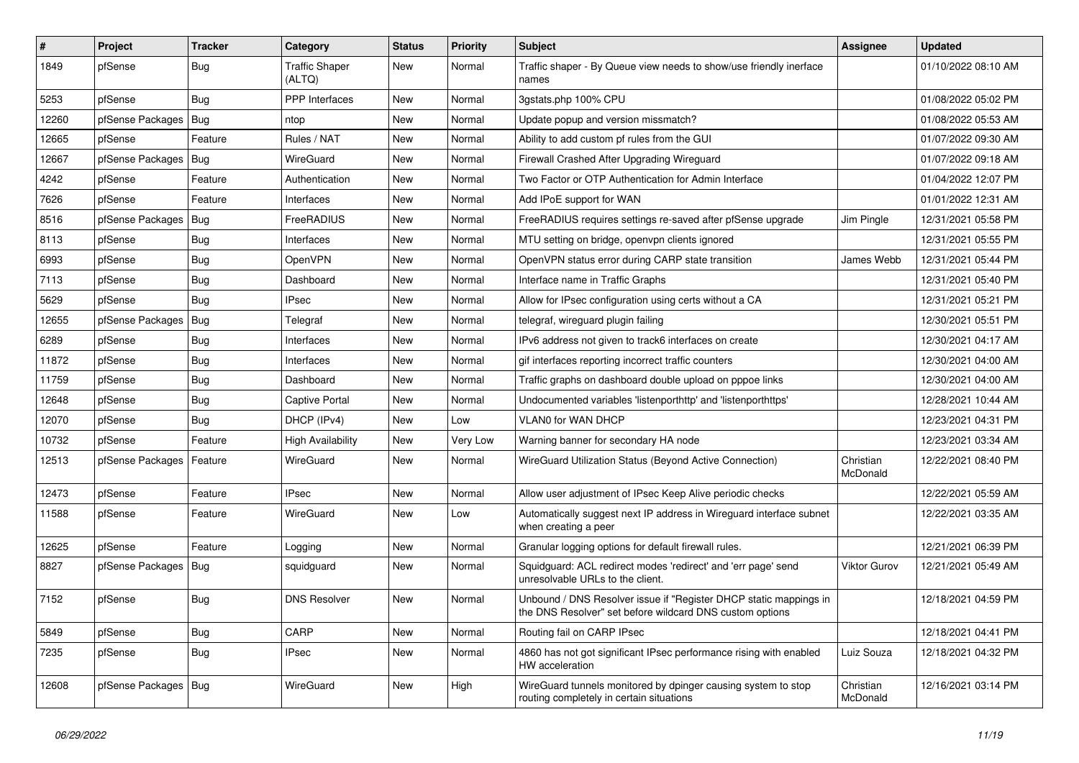| $\#$  | Project                | <b>Tracker</b> | Category                        | <b>Status</b> | <b>Priority</b> | Subject                                                                                                                       | <b>Assignee</b>       | <b>Updated</b>      |
|-------|------------------------|----------------|---------------------------------|---------------|-----------------|-------------------------------------------------------------------------------------------------------------------------------|-----------------------|---------------------|
| 1849  | pfSense                | <b>Bug</b>     | <b>Traffic Shaper</b><br>(ALTQ) | New           | Normal          | Traffic shaper - By Queue view needs to show/use friendly inerface<br>names                                                   |                       | 01/10/2022 08:10 AM |
| 5253  | pfSense                | Bug            | PPP Interfaces                  | New           | Normal          | 3gstats.php 100% CPU                                                                                                          |                       | 01/08/2022 05:02 PM |
| 12260 | pfSense Packages   Bug |                | ntop                            | New           | Normal          | Update popup and version missmatch?                                                                                           |                       | 01/08/2022 05:53 AM |
| 12665 | pfSense                | Feature        | Rules / NAT                     | New           | Normal          | Ability to add custom pf rules from the GUI                                                                                   |                       | 01/07/2022 09:30 AM |
| 12667 | pfSense Packages       | Bug            | WireGuard                       | New           | Normal          | Firewall Crashed After Upgrading Wireguard                                                                                    |                       | 01/07/2022 09:18 AM |
| 4242  | pfSense                | Feature        | Authentication                  | <b>New</b>    | Normal          | Two Factor or OTP Authentication for Admin Interface                                                                          |                       | 01/04/2022 12:07 PM |
| 7626  | pfSense                | Feature        | Interfaces                      | New           | Normal          | Add IPoE support for WAN                                                                                                      |                       | 01/01/2022 12:31 AM |
| 8516  | pfSense Packages       | Bug            | FreeRADIUS                      | New           | Normal          | FreeRADIUS requires settings re-saved after pfSense upgrade                                                                   | Jim Pingle            | 12/31/2021 05:58 PM |
| 8113  | pfSense                | Bug            | Interfaces                      | New           | Normal          | MTU setting on bridge, openvpn clients ignored                                                                                |                       | 12/31/2021 05:55 PM |
| 6993  | pfSense                | <b>Bug</b>     | OpenVPN                         | New           | Normal          | OpenVPN status error during CARP state transition                                                                             | James Webb            | 12/31/2021 05:44 PM |
| 7113  | pfSense                | Bug            | Dashboard                       | New           | Normal          | Interface name in Traffic Graphs                                                                                              |                       | 12/31/2021 05:40 PM |
| 5629  | pfSense                | Bug            | <b>IPsec</b>                    | New           | Normal          | Allow for IPsec configuration using certs without a CA                                                                        |                       | 12/31/2021 05:21 PM |
| 12655 | pfSense Packages       | Bug            | Telegraf                        | New           | Normal          | telegraf, wireguard plugin failing                                                                                            |                       | 12/30/2021 05:51 PM |
| 6289  | pfSense                | <b>Bug</b>     | Interfaces                      | New           | Normal          | IPv6 address not given to track6 interfaces on create                                                                         |                       | 12/30/2021 04:17 AM |
| 11872 | pfSense                | <b>Bug</b>     | Interfaces                      | New           | Normal          | gif interfaces reporting incorrect traffic counters                                                                           |                       | 12/30/2021 04:00 AM |
| 11759 | pfSense                | Bug            | Dashboard                       | New           | Normal          | Traffic graphs on dashboard double upload on pppoe links                                                                      |                       | 12/30/2021 04:00 AM |
| 12648 | pfSense                | <b>Bug</b>     | <b>Captive Portal</b>           | New           | Normal          | Undocumented variables 'listenporthttp' and 'listenporthttps'                                                                 |                       | 12/28/2021 10:44 AM |
| 12070 | pfSense                | <b>Bug</b>     | DHCP (IPv4)                     | New           | Low             | VLAN0 for WAN DHCP                                                                                                            |                       | 12/23/2021 04:31 PM |
| 10732 | pfSense                | Feature        | <b>High Availability</b>        | New           | Very Low        | Warning banner for secondary HA node                                                                                          |                       | 12/23/2021 03:34 AM |
| 12513 | pfSense Packages       | Feature        | WireGuard                       | New           | Normal          | WireGuard Utilization Status (Beyond Active Connection)                                                                       | Christian<br>McDonald | 12/22/2021 08:40 PM |
| 12473 | pfSense                | Feature        | <b>IPsec</b>                    | New           | Normal          | Allow user adjustment of IPsec Keep Alive periodic checks                                                                     |                       | 12/22/2021 05:59 AM |
| 11588 | pfSense                | Feature        | WireGuard                       | New           | Low             | Automatically suggest next IP address in Wireguard interface subnet<br>when creating a peer                                   |                       | 12/22/2021 03:35 AM |
| 12625 | pfSense                | Feature        | Logging                         | New           | Normal          | Granular logging options for default firewall rules.                                                                          |                       | 12/21/2021 06:39 PM |
| 8827  | pfSense Packages       | Bug            | squidguard                      | New           | Normal          | Squidguard: ACL redirect modes 'redirect' and 'err page' send<br>unresolvable URLs to the client.                             | Viktor Gurov          | 12/21/2021 05:49 AM |
| 7152  | pfSense                | Bug            | <b>DNS Resolver</b>             | New           | Normal          | Unbound / DNS Resolver issue if "Register DHCP static mappings in<br>the DNS Resolver" set before wildcard DNS custom options |                       | 12/18/2021 04:59 PM |
| 5849  | pfSense                | <b>Bug</b>     | CARP                            | New           | Normal          | Routing fail on CARP IPsec                                                                                                    |                       | 12/18/2021 04:41 PM |
| 7235  | pfSense                | <b>Bug</b>     | <b>IPsec</b>                    | New           | Normal          | 4860 has not got significant IPsec performance rising with enabled<br>HW acceleration                                         | Luiz Souza            | 12/18/2021 04:32 PM |
| 12608 | pfSense Packages   Bug |                | WireGuard                       | New           | High            | WireGuard tunnels monitored by dpinger causing system to stop<br>routing completely in certain situations                     | Christian<br>McDonald | 12/16/2021 03:14 PM |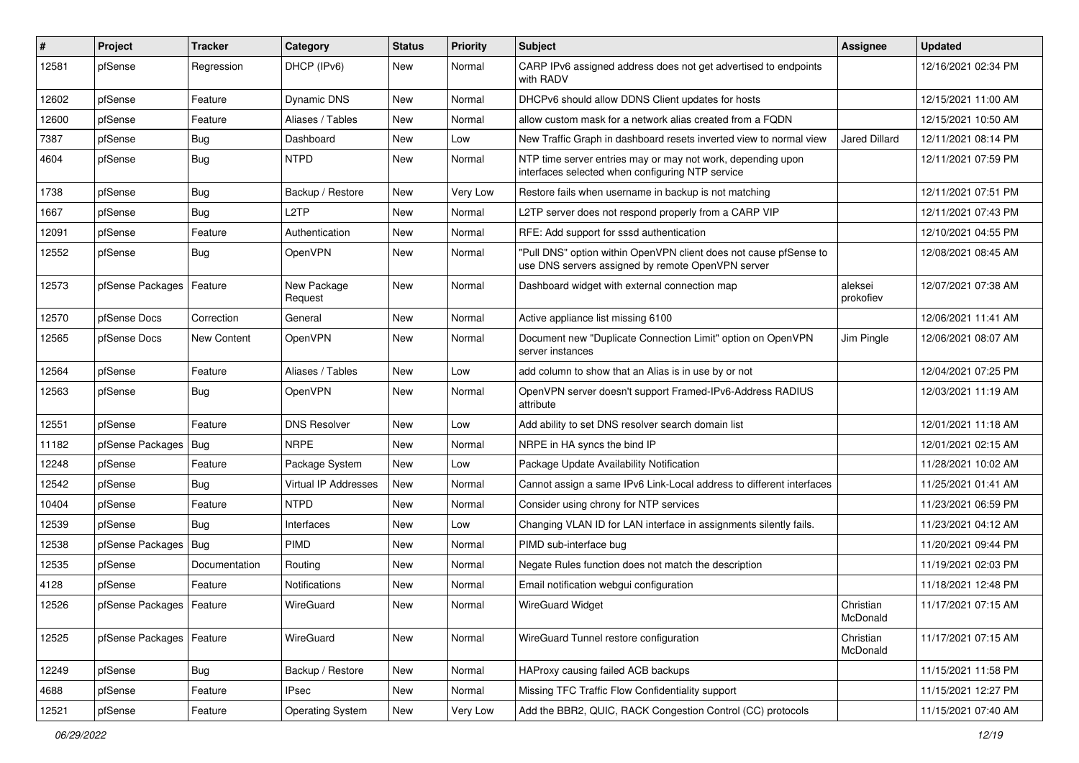| #     | Project                    | <b>Tracker</b> | Category                    | <b>Status</b> | <b>Priority</b> | <b>Subject</b>                                                                                                         | <b>Assignee</b>       | <b>Updated</b>      |
|-------|----------------------------|----------------|-----------------------------|---------------|-----------------|------------------------------------------------------------------------------------------------------------------------|-----------------------|---------------------|
| 12581 | pfSense                    | Regression     | DHCP (IPv6)                 | <b>New</b>    | Normal          | CARP IPv6 assigned address does not get advertised to endpoints<br>with RADV                                           |                       | 12/16/2021 02:34 PM |
| 12602 | pfSense                    | Feature        | <b>Dynamic DNS</b>          | <b>New</b>    | Normal          | DHCPv6 should allow DDNS Client updates for hosts                                                                      |                       | 12/15/2021 11:00 AM |
| 12600 | pfSense                    | Feature        | Aliases / Tables            | New           | Normal          | allow custom mask for a network alias created from a FQDN                                                              |                       | 12/15/2021 10:50 AM |
| 7387  | pfSense                    | <b>Bug</b>     | Dashboard                   | <b>New</b>    | Low             | New Traffic Graph in dashboard resets inverted view to normal view                                                     | <b>Jared Dillard</b>  | 12/11/2021 08:14 PM |
| 4604  | pfSense                    | <b>Bug</b>     | <b>NTPD</b>                 | New           | Normal          | NTP time server entries may or may not work, depending upon<br>interfaces selected when configuring NTP service        |                       | 12/11/2021 07:59 PM |
| 1738  | pfSense                    | Bug            | Backup / Restore            | New           | Verv Low        | Restore fails when username in backup is not matching                                                                  |                       | 12/11/2021 07:51 PM |
| 1667  | pfSense                    | Bug            | L <sub>2</sub> TP           | <b>New</b>    | Normal          | L2TP server does not respond properly from a CARP VIP                                                                  |                       | 12/11/2021 07:43 PM |
| 12091 | pfSense                    | Feature        | Authentication              | New           | Normal          | RFE: Add support for sssd authentication                                                                               |                       | 12/10/2021 04:55 PM |
| 12552 | pfSense                    | Bug            | OpenVPN                     | New           | Normal          | "Pull DNS" option within OpenVPN client does not cause pfSense to<br>use DNS servers assigned by remote OpenVPN server |                       | 12/08/2021 08:45 AM |
| 12573 | pfSense Packages   Feature |                | New Package<br>Request      | <b>New</b>    | Normal          | Dashboard widget with external connection map                                                                          | aleksei<br>prokofiev  | 12/07/2021 07:38 AM |
| 12570 | pfSense Docs               | Correction     | General                     | New           | Normal          | Active appliance list missing 6100                                                                                     |                       | 12/06/2021 11:41 AM |
| 12565 | pfSense Docs               | New Content    | OpenVPN                     | New           | Normal          | Document new "Duplicate Connection Limit" option on OpenVPN<br>server instances                                        | Jim Pingle            | 12/06/2021 08:07 AM |
| 12564 | pfSense                    | Feature        | Aliases / Tables            | <b>New</b>    | Low             | add column to show that an Alias is in use by or not                                                                   |                       | 12/04/2021 07:25 PM |
| 12563 | pfSense                    | <b>Bug</b>     | OpenVPN                     | New           | Normal          | OpenVPN server doesn't support Framed-IPv6-Address RADIUS<br>attribute                                                 |                       | 12/03/2021 11:19 AM |
| 12551 | pfSense                    | Feature        | <b>DNS Resolver</b>         | New           | Low             | Add ability to set DNS resolver search domain list                                                                     |                       | 12/01/2021 11:18 AM |
| 11182 | pfSense Packages           | Bug            | <b>NRPE</b>                 | <b>New</b>    | Normal          | NRPE in HA syncs the bind IP                                                                                           |                       | 12/01/2021 02:15 AM |
| 12248 | pfSense                    | Feature        | Package System              | <b>New</b>    | Low             | Package Update Availability Notification                                                                               |                       | 11/28/2021 10:02 AM |
| 12542 | pfSense                    | Bug            | <b>Virtual IP Addresses</b> | New           | Normal          | Cannot assign a same IPv6 Link-Local address to different interfaces                                                   |                       | 11/25/2021 01:41 AM |
| 10404 | pfSense                    | Feature        | <b>NTPD</b>                 | New           | Normal          | Consider using chrony for NTP services                                                                                 |                       | 11/23/2021 06:59 PM |
| 12539 | pfSense                    | Bug            | Interfaces                  | New           | Low             | Changing VLAN ID for LAN interface in assignments silently fails.                                                      |                       | 11/23/2021 04:12 AM |
| 12538 | pfSense Packages           | Bug            | <b>PIMD</b>                 | New           | Normal          | PIMD sub-interface bug                                                                                                 |                       | 11/20/2021 09:44 PM |
| 12535 | pfSense                    | Documentation  | Routing                     | New           | Normal          | Negate Rules function does not match the description                                                                   |                       | 11/19/2021 02:03 PM |
| 4128  | pfSense                    | Feature        | Notifications               | New           | Normal          | Email notification webgui configuration                                                                                |                       | 11/18/2021 12:48 PM |
| 12526 | pfSense Packages   Feature |                | WireGuard                   | New           | Normal          | <b>WireGuard Widget</b>                                                                                                | Christian<br>McDonald | 11/17/2021 07:15 AM |
| 12525 | pfSense Packages           | Feature        | WireGuard                   | New           | Normal          | WireGuard Tunnel restore configuration                                                                                 | Christian<br>McDonald | 11/17/2021 07:15 AM |
| 12249 | pfSense                    | <b>Bug</b>     | Backup / Restore            | New           | Normal          | HAProxy causing failed ACB backups                                                                                     |                       | 11/15/2021 11:58 PM |
| 4688  | pfSense                    | Feature        | <b>IPsec</b>                | New           | Normal          | Missing TFC Traffic Flow Confidentiality support                                                                       |                       | 11/15/2021 12:27 PM |
| 12521 | pfSense                    | Feature        | <b>Operating System</b>     | New           | Very Low        | Add the BBR2, QUIC, RACK Congestion Control (CC) protocols                                                             |                       | 11/15/2021 07:40 AM |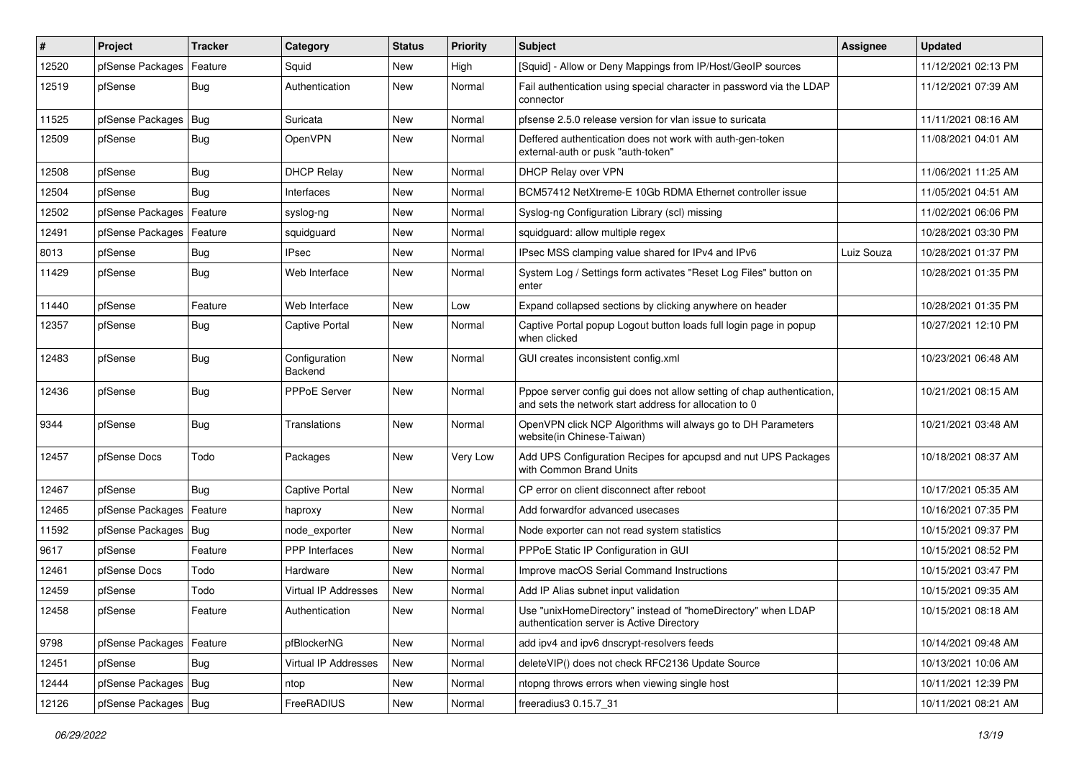| #     | Project                    | <b>Tracker</b> | Category                 | <b>Status</b> | <b>Priority</b> | <b>Subject</b>                                                                                                                   | <b>Assignee</b> | <b>Updated</b>      |
|-------|----------------------------|----------------|--------------------------|---------------|-----------------|----------------------------------------------------------------------------------------------------------------------------------|-----------------|---------------------|
| 12520 | pfSense Packages           | Feature        | Squid                    | New           | High            | [Squid] - Allow or Deny Mappings from IP/Host/GeoIP sources                                                                      |                 | 11/12/2021 02:13 PM |
| 12519 | pfSense                    | Bug            | Authentication           | New           | Normal          | Fail authentication using special character in password via the LDAP<br>connector                                                |                 | 11/12/2021 07:39 AM |
| 11525 | pfSense Packages   Bug     |                | Suricata                 | New           | Normal          | pfsense 2.5.0 release version for vlan issue to suricata                                                                         |                 | 11/11/2021 08:16 AM |
| 12509 | pfSense                    | Bug            | OpenVPN                  | <b>New</b>    | Normal          | Deffered authentication does not work with auth-gen-token<br>external-auth or pusk "auth-token"                                  |                 | 11/08/2021 04:01 AM |
| 12508 | pfSense                    | Bug            | <b>DHCP Relay</b>        | New           | Normal          | DHCP Relay over VPN                                                                                                              |                 | 11/06/2021 11:25 AM |
| 12504 | pfSense                    | Bug            | Interfaces               | <b>New</b>    | Normal          | BCM57412 NetXtreme-E 10Gb RDMA Ethernet controller issue                                                                         |                 | 11/05/2021 04:51 AM |
| 12502 | pfSense Packages   Feature |                | syslog-ng                | New           | Normal          | Syslog-ng Configuration Library (scl) missing                                                                                    |                 | 11/02/2021 06:06 PM |
| 12491 | pfSense Packages           | Feature        | squidguard               | New           | Normal          | squidguard: allow multiple regex                                                                                                 |                 | 10/28/2021 03:30 PM |
| 8013  | pfSense                    | Bug            | <b>IPsec</b>             | New           | Normal          | IPsec MSS clamping value shared for IPv4 and IPv6                                                                                | Luiz Souza      | 10/28/2021 01:37 PM |
| 11429 | pfSense                    | Bug            | Web Interface            | New           | Normal          | System Log / Settings form activates "Reset Log Files" button on<br>enter                                                        |                 | 10/28/2021 01:35 PM |
| 11440 | pfSense                    | Feature        | Web Interface            | New           | Low             | Expand collapsed sections by clicking anywhere on header                                                                         |                 | 10/28/2021 01:35 PM |
| 12357 | pfSense                    | Bug            | <b>Captive Portal</b>    | New           | Normal          | Captive Portal popup Logout button loads full login page in popup<br>when clicked                                                |                 | 10/27/2021 12:10 PM |
| 12483 | pfSense                    | Bug            | Configuration<br>Backend | <b>New</b>    | Normal          | GUI creates inconsistent config.xml                                                                                              |                 | 10/23/2021 06:48 AM |
| 12436 | pfSense                    | Bug            | PPPoE Server             | New           | Normal          | Pppoe server config gui does not allow setting of chap authentication,<br>and sets the network start address for allocation to 0 |                 | 10/21/2021 08:15 AM |
| 9344  | pfSense                    | Bug            | Translations             | <b>New</b>    | Normal          | OpenVPN click NCP Algorithms will always go to DH Parameters<br>website(in Chinese-Taiwan)                                       |                 | 10/21/2021 03:48 AM |
| 12457 | pfSense Docs               | Todo           | Packages                 | New           | Very Low        | Add UPS Configuration Recipes for apcupsd and nut UPS Packages<br>with Common Brand Units                                        |                 | 10/18/2021 08:37 AM |
| 12467 | pfSense                    | Bug            | <b>Captive Portal</b>    | New           | Normal          | CP error on client disconnect after reboot                                                                                       |                 | 10/17/2021 05:35 AM |
| 12465 | pfSense Packages   Feature |                | haproxy                  | New           | Normal          | Add forwardfor advanced usecases                                                                                                 |                 | 10/16/2021 07:35 PM |
| 11592 | pfSense Packages           | Bug            | node exporter            | New           | Normal          | Node exporter can not read system statistics                                                                                     |                 | 10/15/2021 09:37 PM |
| 9617  | pfSense                    | Feature        | <b>PPP</b> Interfaces    | New           | Normal          | PPPoE Static IP Configuration in GUI                                                                                             |                 | 10/15/2021 08:52 PM |
| 12461 | pfSense Docs               | Todo           | Hardware                 | <b>New</b>    | Normal          | Improve macOS Serial Command Instructions                                                                                        |                 | 10/15/2021 03:47 PM |
| 12459 | pfSense                    | Todo           | Virtual IP Addresses     | New           | Normal          | Add IP Alias subnet input validation                                                                                             |                 | 10/15/2021 09:35 AM |
| 12458 | pfSense                    | Feature        | Authentication           | New           | Normal          | Use "unixHomeDirectory" instead of "homeDirectory" when LDAP<br>authentication server is Active Directory                        |                 | 10/15/2021 08:18 AM |
| 9798  | pfSense Packages           | Feature        | pfBlockerNG              | New           | Normal          | add ipv4 and ipv6 dnscrypt-resolvers feeds                                                                                       |                 | 10/14/2021 09:48 AM |
| 12451 | pfSense                    | Bug            | Virtual IP Addresses     | New           | Normal          | deleteVIP() does not check RFC2136 Update Source                                                                                 |                 | 10/13/2021 10:06 AM |
| 12444 | pfSense Packages   Bug     |                | ntop                     | New           | Normal          | ntopng throws errors when viewing single host                                                                                    |                 | 10/11/2021 12:39 PM |
| 12126 | pfSense Packages   Bug     |                | FreeRADIUS               | New           | Normal          | freeradius3 0.15.7_31                                                                                                            |                 | 10/11/2021 08:21 AM |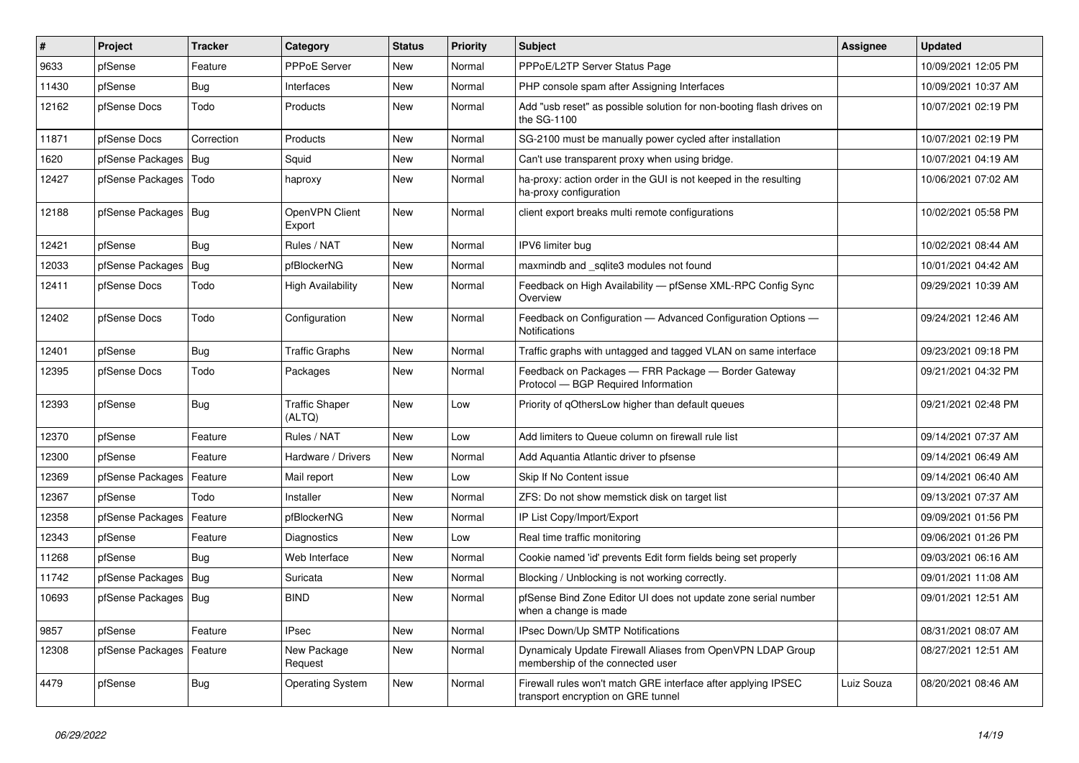| $\sharp$ | Project                 | <b>Tracker</b> | Category                        | <b>Status</b> | <b>Priority</b> | <b>Subject</b>                                                                                      | <b>Assignee</b> | <b>Updated</b>      |
|----------|-------------------------|----------------|---------------------------------|---------------|-----------------|-----------------------------------------------------------------------------------------------------|-----------------|---------------------|
| 9633     | pfSense                 | Feature        | <b>PPPoE Server</b>             | <b>New</b>    | Normal          | PPPoE/L2TP Server Status Page                                                                       |                 | 10/09/2021 12:05 PM |
| 11430    | pfSense                 | <b>Bug</b>     | Interfaces                      | <b>New</b>    | Normal          | PHP console spam after Assigning Interfaces                                                         |                 | 10/09/2021 10:37 AM |
| 12162    | pfSense Docs            | Todo           | Products                        | <b>New</b>    | Normal          | Add "usb reset" as possible solution for non-booting flash drives on<br>the SG-1100                 |                 | 10/07/2021 02:19 PM |
| 11871    | pfSense Docs            | Correction     | Products                        | New           | Normal          | SG-2100 must be manually power cycled after installation                                            |                 | 10/07/2021 02:19 PM |
| 1620     | pfSense Packages   Bug  |                | Squid                           | New           | Normal          | Can't use transparent proxy when using bridge.                                                      |                 | 10/07/2021 04:19 AM |
| 12427    | pfSense Packages   Todo |                | haproxy                         | New           | Normal          | ha-proxy: action order in the GUI is not keeped in the resulting<br>ha-proxy configuration          |                 | 10/06/2021 07:02 AM |
| 12188    | pfSense Packages   Bug  |                | OpenVPN Client<br>Export        | <b>New</b>    | Normal          | client export breaks multi remote configurations                                                    |                 | 10/02/2021 05:58 PM |
| 12421    | pfSense                 | Bug            | Rules / NAT                     | New           | Normal          | IPV6 limiter bug                                                                                    |                 | 10/02/2021 08:44 AM |
| 12033    | pfSense Packages        | Bug            | pfBlockerNG                     | New           | Normal          | maxmindb and sqlite3 modules not found                                                              |                 | 10/01/2021 04:42 AM |
| 12411    | pfSense Docs            | Todo           | High Availability               | New           | Normal          | Feedback on High Availability - pfSense XML-RPC Config Sync<br>Overview                             |                 | 09/29/2021 10:39 AM |
| 12402    | pfSense Docs            | Todo           | Configuration                   | New           | Normal          | Feedback on Configuration - Advanced Configuration Options -<br>Notifications                       |                 | 09/24/2021 12:46 AM |
| 12401    | pfSense                 | Bug            | <b>Traffic Graphs</b>           | <b>New</b>    | Normal          | Traffic graphs with untagged and tagged VLAN on same interface                                      |                 | 09/23/2021 09:18 PM |
| 12395    | pfSense Docs            | Todo           | Packages                        | <b>New</b>    | Normal          | Feedback on Packages - FRR Package - Border Gateway<br>Protocol - BGP Required Information          |                 | 09/21/2021 04:32 PM |
| 12393    | pfSense                 | Bug            | <b>Traffic Shaper</b><br>(ALTQ) | New           | Low             | Priority of qOthersLow higher than default queues                                                   |                 | 09/21/2021 02:48 PM |
| 12370    | pfSense                 | Feature        | Rules / NAT                     | New           | Low             | Add limiters to Queue column on firewall rule list                                                  |                 | 09/14/2021 07:37 AM |
| 12300    | pfSense                 | Feature        | Hardware / Drivers              | New           | Normal          | Add Aquantia Atlantic driver to pfsense                                                             |                 | 09/14/2021 06:49 AM |
| 12369    | pfSense Packages        | Feature        | Mail report                     | New           | Low             | Skip If No Content issue                                                                            |                 | 09/14/2021 06:40 AM |
| 12367    | pfSense                 | Todo           | Installer                       | New           | Normal          | ZFS: Do not show memstick disk on target list                                                       |                 | 09/13/2021 07:37 AM |
| 12358    | pfSense Packages        | Feature        | pfBlockerNG                     | <b>New</b>    | Normal          | IP List Copy/Import/Export                                                                          |                 | 09/09/2021 01:56 PM |
| 12343    | pfSense                 | Feature        | Diagnostics                     | New           | Low             | Real time traffic monitoring                                                                        |                 | 09/06/2021 01:26 PM |
| 11268    | pfSense                 | Bug            | Web Interface                   | <b>New</b>    | Normal          | Cookie named 'id' prevents Edit form fields being set properly                                      |                 | 09/03/2021 06:16 AM |
| 11742    | pfSense Packages        | Bug            | Suricata                        | <b>New</b>    | Normal          | Blocking / Unblocking is not working correctly.                                                     |                 | 09/01/2021 11:08 AM |
| 10693    | pfSense Packages   Bug  |                | <b>BIND</b>                     | <b>New</b>    | Normal          | pfSense Bind Zone Editor UI does not update zone serial number<br>when a change is made             |                 | 09/01/2021 12:51 AM |
| 9857     | pfSense                 | Feature        | <b>IPsec</b>                    | <b>New</b>    | Normal          | <b>IPsec Down/Up SMTP Notifications</b>                                                             |                 | 08/31/2021 08:07 AM |
| 12308    | pfSense Packages        | Feature        | New Package<br>Request          | New           | Normal          | Dynamicaly Update Firewall Aliases from OpenVPN LDAP Group<br>membership of the connected user      |                 | 08/27/2021 12:51 AM |
| 4479     | pfSense                 | <b>Bug</b>     | <b>Operating System</b>         | <b>New</b>    | Normal          | Firewall rules won't match GRE interface after applying IPSEC<br>transport encryption on GRE tunnel | Luiz Souza      | 08/20/2021 08:46 AM |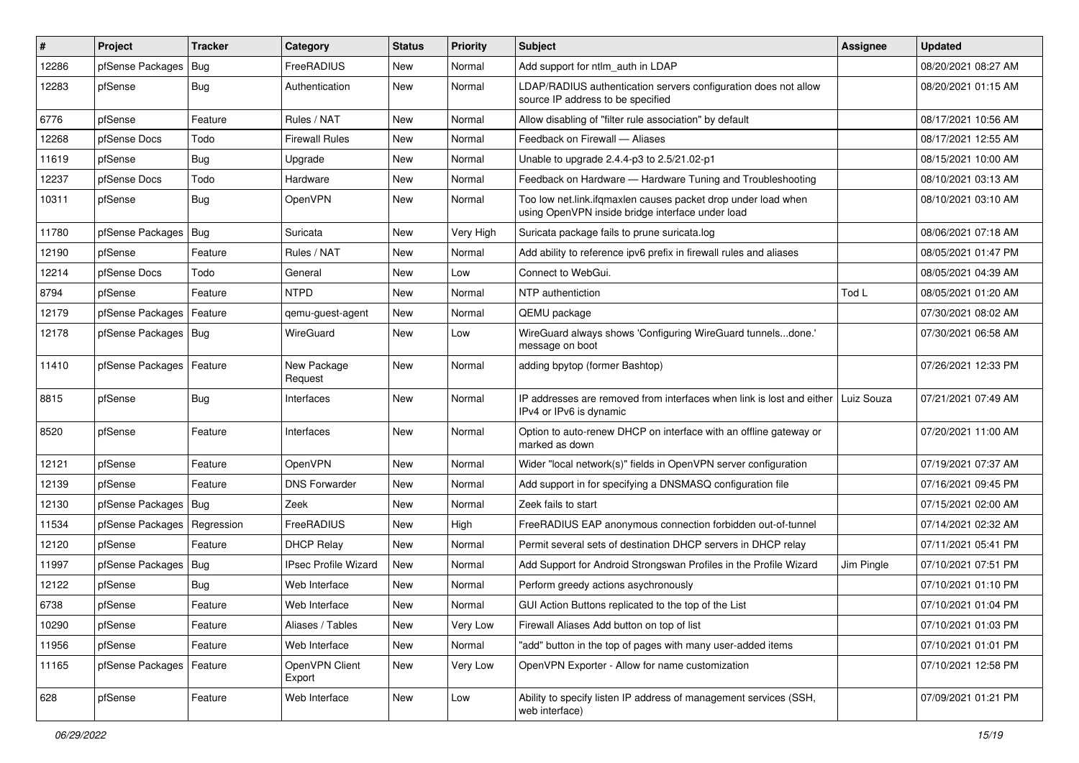| $\vert$ # | Project                | <b>Tracker</b> | Category                    | <b>Status</b> | <b>Priority</b> | <b>Subject</b>                                                                                                    | <b>Assignee</b> | <b>Updated</b>      |
|-----------|------------------------|----------------|-----------------------------|---------------|-----------------|-------------------------------------------------------------------------------------------------------------------|-----------------|---------------------|
| 12286     | pfSense Packages       | Bug            | FreeRADIUS                  | New           | Normal          | Add support for ntlm auth in LDAP                                                                                 |                 | 08/20/2021 08:27 AM |
| 12283     | pfSense                | <b>Bug</b>     | Authentication              | New           | Normal          | LDAP/RADIUS authentication servers configuration does not allow<br>source IP address to be specified              |                 | 08/20/2021 01:15 AM |
| 6776      | pfSense                | Feature        | Rules / NAT                 | <b>New</b>    | Normal          | Allow disabling of "filter rule association" by default                                                           |                 | 08/17/2021 10:56 AM |
| 12268     | pfSense Docs           | Todo           | <b>Firewall Rules</b>       | New           | Normal          | Feedback on Firewall - Aliases                                                                                    |                 | 08/17/2021 12:55 AM |
| 11619     | pfSense                | <b>Bug</b>     | Upgrade                     | New           | Normal          | Unable to upgrade 2.4.4-p3 to 2.5/21.02-p1                                                                        |                 | 08/15/2021 10:00 AM |
| 12237     | pfSense Docs           | Todo           | Hardware                    | New           | Normal          | Feedback on Hardware - Hardware Tuning and Troubleshooting                                                        |                 | 08/10/2021 03:13 AM |
| 10311     | pfSense                | <b>Bug</b>     | OpenVPN                     | New           | Normal          | Too low net.link.ifqmaxlen causes packet drop under load when<br>using OpenVPN inside bridge interface under load |                 | 08/10/2021 03:10 AM |
| 11780     | pfSense Packages   Bug |                | Suricata                    | New           | Very High       | Suricata package fails to prune suricata.log                                                                      |                 | 08/06/2021 07:18 AM |
| 12190     | pfSense                | Feature        | Rules / NAT                 | New           | Normal          | Add ability to reference ipv6 prefix in firewall rules and aliases                                                |                 | 08/05/2021 01:47 PM |
| 12214     | pfSense Docs           | Todo           | General                     | New           | Low             | Connect to WebGui.                                                                                                |                 | 08/05/2021 04:39 AM |
| 8794      | pfSense                | Feature        | <b>NTPD</b>                 | New           | Normal          | NTP authentiction                                                                                                 | Tod L           | 08/05/2021 01:20 AM |
| 12179     | pfSense Packages       | Feature        | qemu-guest-agent            | New           | Normal          | QEMU package                                                                                                      |                 | 07/30/2021 08:02 AM |
| 12178     | pfSense Packages   Bug |                | WireGuard                   | New           | Low             | WireGuard always shows 'Configuring WireGuard tunnelsdone.'<br>message on boot                                    |                 | 07/30/2021 06:58 AM |
| 11410     | pfSense Packages       | Feature        | New Package<br>Request      | New           | Normal          | adding bpytop (former Bashtop)                                                                                    |                 | 07/26/2021 12:33 PM |
| 8815      | pfSense                | Bug            | Interfaces                  | New           | Normal          | IP addresses are removed from interfaces when link is lost and either<br>IPv4 or IPv6 is dynamic                  | Luiz Souza      | 07/21/2021 07:49 AM |
| 8520      | pfSense                | Feature        | Interfaces                  | New           | Normal          | Option to auto-renew DHCP on interface with an offline gateway or<br>marked as down                               |                 | 07/20/2021 11:00 AM |
| 12121     | pfSense                | Feature        | OpenVPN                     | <b>New</b>    | Normal          | Wider "local network(s)" fields in OpenVPN server configuration                                                   |                 | 07/19/2021 07:37 AM |
| 12139     | pfSense                | Feature        | <b>DNS Forwarder</b>        | New           | Normal          | Add support in for specifying a DNSMASQ configuration file                                                        |                 | 07/16/2021 09:45 PM |
| 12130     | pfSense Packages   Bug |                | Zeek                        | New           | Normal          | Zeek fails to start                                                                                               |                 | 07/15/2021 02:00 AM |
| 11534     | pfSense Packages       | Regression     | FreeRADIUS                  | <b>New</b>    | High            | FreeRADIUS EAP anonymous connection forbidden out-of-tunnel                                                       |                 | 07/14/2021 02:32 AM |
| 12120     | pfSense                | Feature        | <b>DHCP Relay</b>           | New           | Normal          | Permit several sets of destination DHCP servers in DHCP relay                                                     |                 | 07/11/2021 05:41 PM |
| 11997     | pfSense Packages       | Bug            | <b>IPsec Profile Wizard</b> | New           | Normal          | Add Support for Android Strongswan Profiles in the Profile Wizard                                                 | Jim Pingle      | 07/10/2021 07:51 PM |
| 12122     | pfSense                | <b>Bug</b>     | Web Interface               | <b>New</b>    | Normal          | Perform greedy actions asychronously                                                                              |                 | 07/10/2021 01:10 PM |
| 6738      | pfSense                | Feature        | Web Interface               | New           | Normal          | GUI Action Buttons replicated to the top of the List                                                              |                 | 07/10/2021 01:04 PM |
| 10290     | pfSense                | Feature        | Aliases / Tables            | New           | Very Low        | Firewall Aliases Add button on top of list                                                                        |                 | 07/10/2021 01:03 PM |
| 11956     | pfSense                | Feature        | Web Interface               | New           | Normal          | "add" button in the top of pages with many user-added items                                                       |                 | 07/10/2021 01:01 PM |
| 11165     | pfSense Packages       | Feature        | OpenVPN Client<br>Export    | New           | Very Low        | OpenVPN Exporter - Allow for name customization                                                                   |                 | 07/10/2021 12:58 PM |
| 628       | pfSense                | Feature        | Web Interface               | New           | Low             | Ability to specify listen IP address of management services (SSH,<br>web interface)                               |                 | 07/09/2021 01:21 PM |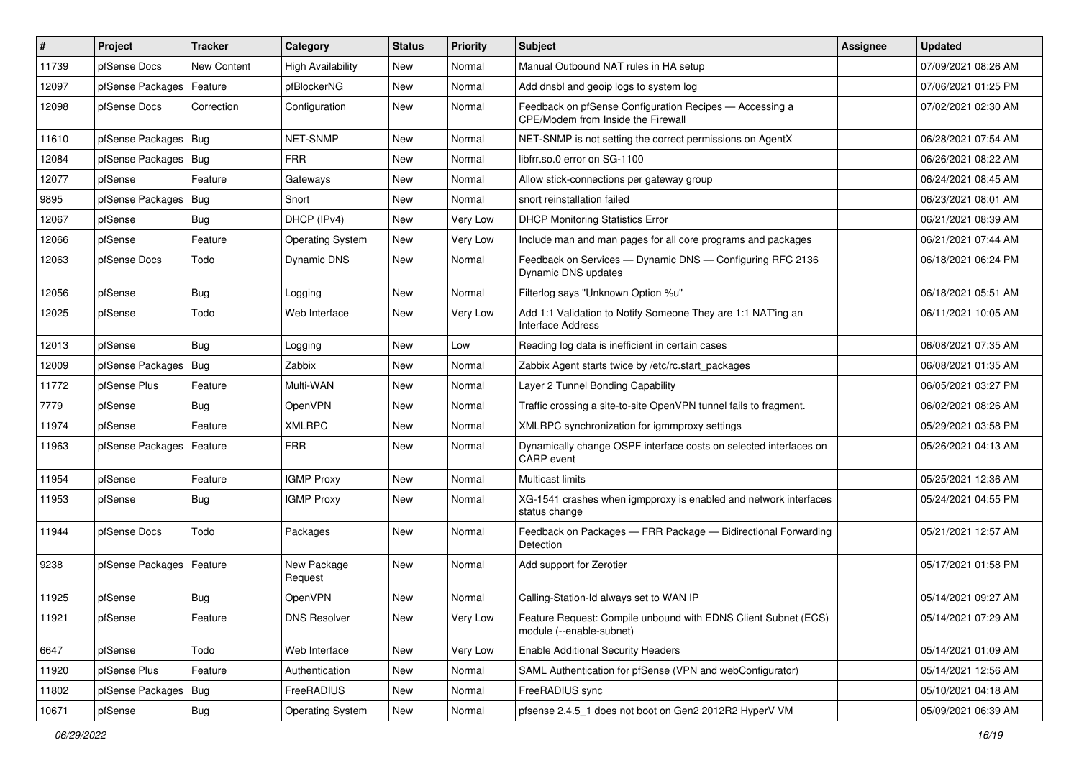| $\vert$ # | Project          | <b>Tracker</b> | Category                 | <b>Status</b> | <b>Priority</b> | <b>Subject</b>                                                                                | <b>Assignee</b> | <b>Updated</b>      |
|-----------|------------------|----------------|--------------------------|---------------|-----------------|-----------------------------------------------------------------------------------------------|-----------------|---------------------|
| 11739     | pfSense Docs     | New Content    | <b>High Availability</b> | New           | Normal          | Manual Outbound NAT rules in HA setup                                                         |                 | 07/09/2021 08:26 AM |
| 12097     | pfSense Packages | Feature        | pfBlockerNG              | <b>New</b>    | Normal          | Add dnsbl and geoip logs to system log                                                        |                 | 07/06/2021 01:25 PM |
| 12098     | pfSense Docs     | Correction     | Configuration            | New           | Normal          | Feedback on pfSense Configuration Recipes - Accessing a<br>CPE/Modem from Inside the Firewall |                 | 07/02/2021 02:30 AM |
| 11610     | pfSense Packages | Bug            | NET-SNMP                 | New           | Normal          | NET-SNMP is not setting the correct permissions on AgentX                                     |                 | 06/28/2021 07:54 AM |
| 12084     | pfSense Packages | Bug            | <b>FRR</b>               | New           | Normal          | libfrr.so.0 error on SG-1100                                                                  |                 | 06/26/2021 08:22 AM |
| 12077     | pfSense          | Feature        | Gateways                 | New           | Normal          | Allow stick-connections per gateway group                                                     |                 | 06/24/2021 08:45 AM |
| 9895      | pfSense Packages | <b>Bug</b>     | Snort                    | <b>New</b>    | Normal          | snort reinstallation failed                                                                   |                 | 06/23/2021 08:01 AM |
| 12067     | pfSense          | Bug            | DHCP (IPv4)              | New           | Very Low        | <b>DHCP Monitoring Statistics Error</b>                                                       |                 | 06/21/2021 08:39 AM |
| 12066     | pfSense          | Feature        | <b>Operating System</b>  | <b>New</b>    | Very Low        | Include man and man pages for all core programs and packages                                  |                 | 06/21/2021 07:44 AM |
| 12063     | pfSense Docs     | Todo           | Dynamic DNS              | New           | Normal          | Feedback on Services - Dynamic DNS - Configuring RFC 2136<br>Dynamic DNS updates              |                 | 06/18/2021 06:24 PM |
| 12056     | pfSense          | Bug            | Logging                  | New           | Normal          | Filterlog says "Unknown Option %u"                                                            |                 | 06/18/2021 05:51 AM |
| 12025     | pfSense          | Todo           | Web Interface            | New           | Very Low        | Add 1:1 Validation to Notify Someone They are 1:1 NAT'ing an<br><b>Interface Address</b>      |                 | 06/11/2021 10:05 AM |
| 12013     | pfSense          | <b>Bug</b>     | Logging                  | <b>New</b>    | Low             | Reading log data is inefficient in certain cases                                              |                 | 06/08/2021 07:35 AM |
| 12009     | pfSense Packages | Bug            | Zabbix                   | New           | Normal          | Zabbix Agent starts twice by /etc/rc.start packages                                           |                 | 06/08/2021 01:35 AM |
| 11772     | pfSense Plus     | Feature        | Multi-WAN                | <b>New</b>    | Normal          | Layer 2 Tunnel Bonding Capability                                                             |                 | 06/05/2021 03:27 PM |
| 7779      | pfSense          | Bug            | <b>OpenVPN</b>           | New           | Normal          | Traffic crossing a site-to-site OpenVPN tunnel fails to fragment.                             |                 | 06/02/2021 08:26 AM |
| 11974     | pfSense          | Feature        | <b>XMLRPC</b>            | New           | Normal          | XMLRPC synchronization for igmmproxy settings                                                 |                 | 05/29/2021 03:58 PM |
| 11963     | pfSense Packages | Feature        | <b>FRR</b>               | New           | Normal          | Dynamically change OSPF interface costs on selected interfaces on<br>CARP event               |                 | 05/26/2021 04:13 AM |
| 11954     | pfSense          | Feature        | <b>IGMP Proxy</b>        | New           | Normal          | Multicast limits                                                                              |                 | 05/25/2021 12:36 AM |
| 11953     | pfSense          | Bug            | <b>IGMP Proxy</b>        | New           | Normal          | XG-1541 crashes when igmpproxy is enabled and network interfaces<br>status change             |                 | 05/24/2021 04:55 PM |
| 11944     | pfSense Docs     | Todo           | Packages                 | <b>New</b>    | Normal          | Feedback on Packages - FRR Package - Bidirectional Forwarding<br>Detection                    |                 | 05/21/2021 12:57 AM |
| 9238      | pfSense Packages | Feature        | New Package<br>Request   | New           | Normal          | Add support for Zerotier                                                                      |                 | 05/17/2021 01:58 PM |
| 11925     | pfSense          | <b>Bug</b>     | OpenVPN                  | New           | Normal          | Calling-Station-Id always set to WAN IP                                                       |                 | 05/14/2021 09:27 AM |
| 11921     | pfSense          | Feature        | <b>DNS Resolver</b>      | New           | Very Low        | Feature Request: Compile unbound with EDNS Client Subnet (ECS)<br>module (--enable-subnet)    |                 | 05/14/2021 07:29 AM |
| 6647      | pfSense          | Todo           | Web Interface            | New           | Very Low        | <b>Enable Additional Security Headers</b>                                                     |                 | 05/14/2021 01:09 AM |
| 11920     | pfSense Plus     | Feature        | Authentication           | New           | Normal          | SAML Authentication for pfSense (VPN and webConfigurator)                                     |                 | 05/14/2021 12:56 AM |
| 11802     | pfSense Packages | Bug            | FreeRADIUS               | New           | Normal          | FreeRADIUS sync                                                                               |                 | 05/10/2021 04:18 AM |
| 10671     | pfSense          | <b>Bug</b>     | <b>Operating System</b>  | New           | Normal          | pfsense 2.4.5_1 does not boot on Gen2 2012R2 HyperV VM                                        |                 | 05/09/2021 06:39 AM |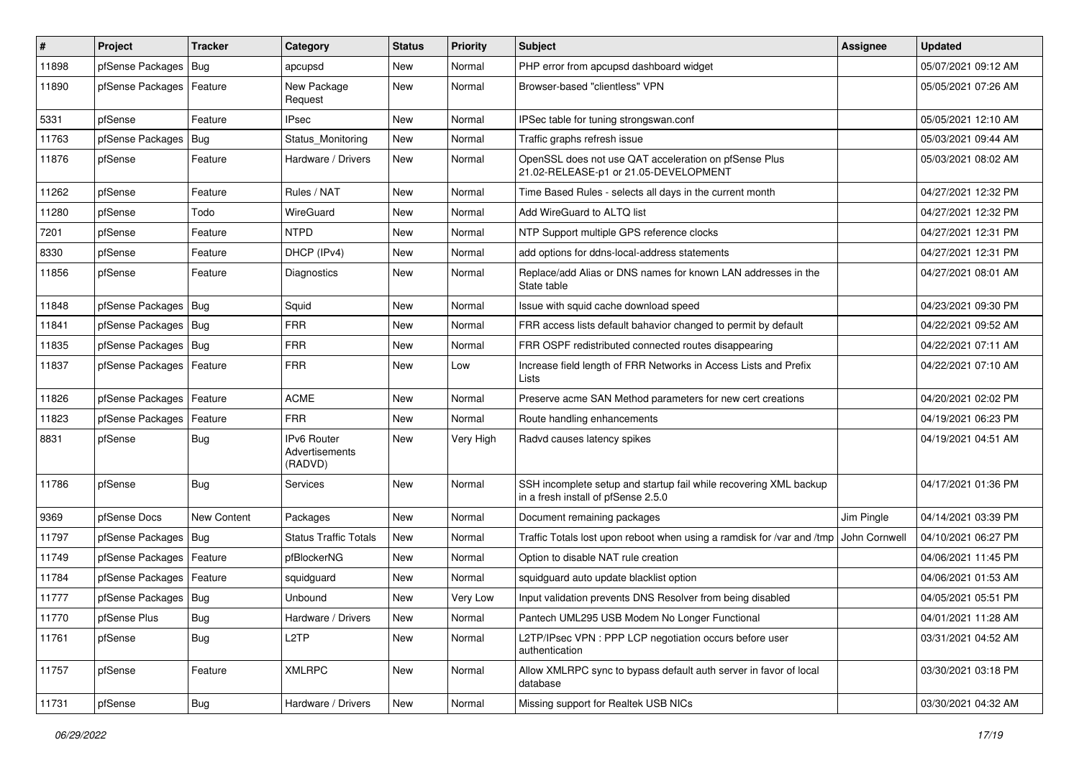| $\vert$ # | Project                    | <b>Tracker</b> | Category                                        | <b>Status</b> | <b>Priority</b> | <b>Subject</b>                                                                                           | Assignee      | <b>Updated</b>      |
|-----------|----------------------------|----------------|-------------------------------------------------|---------------|-----------------|----------------------------------------------------------------------------------------------------------|---------------|---------------------|
| 11898     | pfSense Packages           | Bug            | apcupsd                                         | New           | Normal          | PHP error from apcupsd dashboard widget                                                                  |               | 05/07/2021 09:12 AM |
| 11890     | pfSense Packages   Feature |                | New Package<br>Request                          | New           | Normal          | Browser-based "clientless" VPN                                                                           |               | 05/05/2021 07:26 AM |
| 5331      | pfSense                    | Feature        | <b>IPsec</b>                                    | New           | Normal          | IPSec table for tuning strongswan.conf                                                                   |               | 05/05/2021 12:10 AM |
| 11763     | pfSense Packages           | Bug            | Status_Monitoring                               | New           | Normal          | Traffic graphs refresh issue                                                                             |               | 05/03/2021 09:44 AM |
| 11876     | pfSense                    | Feature        | Hardware / Drivers                              | New           | Normal          | OpenSSL does not use QAT acceleration on pfSense Plus<br>21.02-RELEASE-p1 or 21.05-DEVELOPMENT           |               | 05/03/2021 08:02 AM |
| 11262     | pfSense                    | Feature        | Rules / NAT                                     | <b>New</b>    | Normal          | Time Based Rules - selects all days in the current month                                                 |               | 04/27/2021 12:32 PM |
| 11280     | pfSense                    | Todo           | WireGuard                                       | New           | Normal          | Add WireGuard to ALTQ list                                                                               |               | 04/27/2021 12:32 PM |
| 7201      | pfSense                    | Feature        | <b>NTPD</b>                                     | New           | Normal          | NTP Support multiple GPS reference clocks                                                                |               | 04/27/2021 12:31 PM |
| 8330      | pfSense                    | Feature        | DHCP (IPv4)                                     | New           | Normal          | add options for ddns-local-address statements                                                            |               | 04/27/2021 12:31 PM |
| 11856     | pfSense                    | Feature        | Diagnostics                                     | New           | Normal          | Replace/add Alias or DNS names for known LAN addresses in the<br>State table                             |               | 04/27/2021 08:01 AM |
| 11848     | pfSense Packages   Bug     |                | Squid                                           | New           | Normal          | Issue with squid cache download speed                                                                    |               | 04/23/2021 09:30 PM |
| 11841     | pfSense Packages   Bug     |                | <b>FRR</b>                                      | New           | Normal          | FRR access lists default bahavior changed to permit by default                                           |               | 04/22/2021 09:52 AM |
| 11835     | pfSense Packages           | Bug            | <b>FRR</b>                                      | New           | Normal          | FRR OSPF redistributed connected routes disappearing                                                     |               | 04/22/2021 07:11 AM |
| 11837     | pfSense Packages           | Feature        | <b>FRR</b>                                      | New           | Low             | Increase field length of FRR Networks in Access Lists and Prefix<br>Lists                                |               | 04/22/2021 07:10 AM |
| 11826     | pfSense Packages           | Feature        | <b>ACME</b>                                     | New           | Normal          | Preserve acme SAN Method parameters for new cert creations                                               |               | 04/20/2021 02:02 PM |
| 11823     | pfSense Packages           | Feature        | <b>FRR</b>                                      | New           | Normal          | Route handling enhancements                                                                              |               | 04/19/2021 06:23 PM |
| 8831      | pfSense                    | <b>Bug</b>     | <b>IPv6 Router</b><br>Advertisements<br>(RADVD) | New           | Very High       | Radvd causes latency spikes                                                                              |               | 04/19/2021 04:51 AM |
| 11786     | pfSense                    | Bug            | Services                                        | New           | Normal          | SSH incomplete setup and startup fail while recovering XML backup<br>in a fresh install of pfSense 2.5.0 |               | 04/17/2021 01:36 PM |
| 9369      | pfSense Docs               | New Content    | Packages                                        | New           | Normal          | Document remaining packages                                                                              | Jim Pingle    | 04/14/2021 03:39 PM |
| 11797     | pfSense Packages           | Bug            | <b>Status Traffic Totals</b>                    | <b>New</b>    | Normal          | Traffic Totals lost upon reboot when using a ramdisk for /var and /tmp                                   | John Cornwell | 04/10/2021 06:27 PM |
| 11749     | pfSense Packages           | Feature        | pfBlockerNG                                     | New           | Normal          | Option to disable NAT rule creation                                                                      |               | 04/06/2021 11:45 PM |
| 11784     | pfSense Packages           | Feature        | squidguard                                      | New           | Normal          | squidguard auto update blacklist option                                                                  |               | 04/06/2021 01:53 AM |
| 11777     | pfSense Packages   Bug     |                | Unbound                                         | New           | Very Low        | Input validation prevents DNS Resolver from being disabled                                               |               | 04/05/2021 05:51 PM |
| 11770     | pfSense Plus               | <b>Bug</b>     | Hardware / Drivers                              | New           | Normal          | Pantech UML295 USB Modem No Longer Functional                                                            |               | 04/01/2021 11:28 AM |
| 11761     | pfSense                    | <b>Bug</b>     | L <sub>2</sub> TP                               | New           | Normal          | L2TP/IPsec VPN : PPP LCP negotiation occurs before user<br>authentication                                |               | 03/31/2021 04:52 AM |
| 11757     | pfSense                    | Feature        | <b>XMLRPC</b>                                   | New           | Normal          | Allow XMLRPC sync to bypass default auth server in favor of local<br>database                            |               | 03/30/2021 03:18 PM |
| 11731     | pfSense                    | Bug            | Hardware / Drivers                              | New           | Normal          | Missing support for Realtek USB NICs                                                                     |               | 03/30/2021 04:32 AM |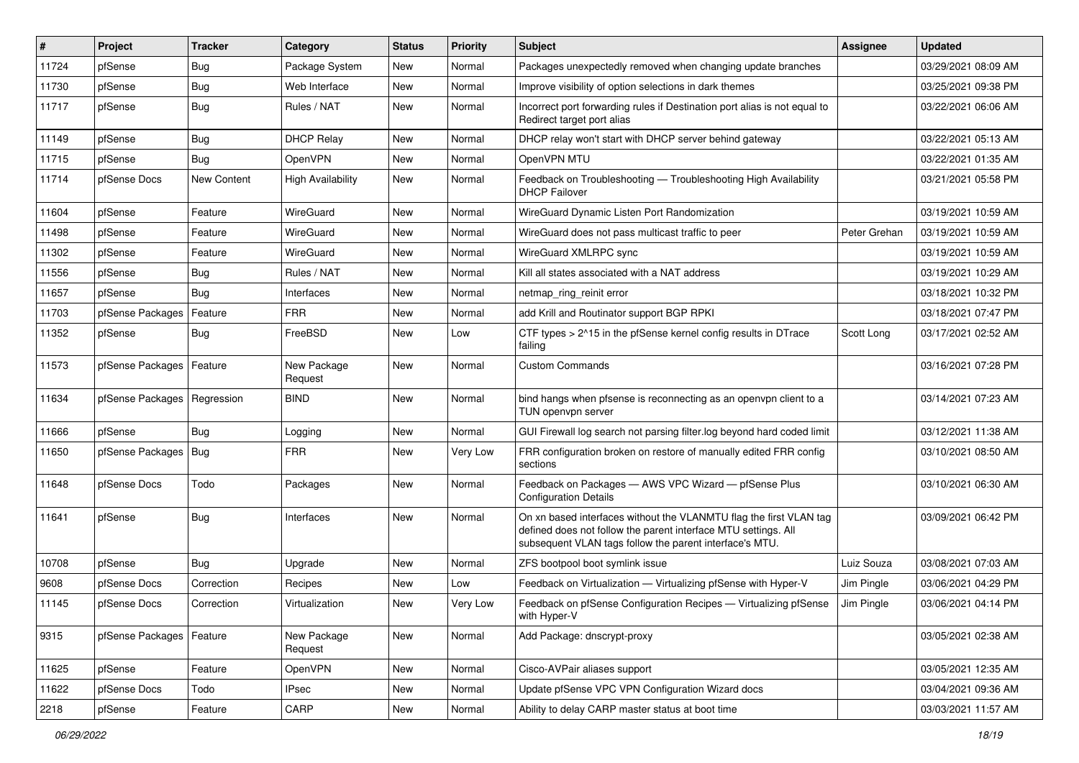| $\sharp$ | Project                       | <b>Tracker</b> | Category                 | <b>Status</b> | <b>Priority</b> | <b>Subject</b>                                                                                                                                                                                  | <b>Assignee</b> | <b>Updated</b>      |
|----------|-------------------------------|----------------|--------------------------|---------------|-----------------|-------------------------------------------------------------------------------------------------------------------------------------------------------------------------------------------------|-----------------|---------------------|
| 11724    | pfSense                       | Bug            | Package System           | New           | Normal          | Packages unexpectedly removed when changing update branches                                                                                                                                     |                 | 03/29/2021 08:09 AM |
| 11730    | pfSense                       | Bug            | Web Interface            | <b>New</b>    | Normal          | Improve visibility of option selections in dark themes                                                                                                                                          |                 | 03/25/2021 09:38 PM |
| 11717    | pfSense                       | Bug            | Rules / NAT              | New           | Normal          | Incorrect port forwarding rules if Destination port alias is not equal to<br>Redirect target port alias                                                                                         |                 | 03/22/2021 06:06 AM |
| 11149    | pfSense                       | Bug            | <b>DHCP Relay</b>        | <b>New</b>    | Normal          | DHCP relay won't start with DHCP server behind gateway                                                                                                                                          |                 | 03/22/2021 05:13 AM |
| 11715    | pfSense                       | Bug            | OpenVPN                  | New           | Normal          | OpenVPN MTU                                                                                                                                                                                     |                 | 03/22/2021 01:35 AM |
| 11714    | pfSense Docs                  | New Content    | <b>High Availability</b> | New           | Normal          | Feedback on Troubleshooting - Troubleshooting High Availability<br><b>DHCP Failover</b>                                                                                                         |                 | 03/21/2021 05:58 PM |
| 11604    | pfSense                       | Feature        | WireGuard                | New           | Normal          | WireGuard Dynamic Listen Port Randomization                                                                                                                                                     |                 | 03/19/2021 10:59 AM |
| 11498    | pfSense                       | Feature        | <b>WireGuard</b>         | New           | Normal          | WireGuard does not pass multicast traffic to peer                                                                                                                                               | Peter Grehan    | 03/19/2021 10:59 AM |
| 11302    | pfSense                       | Feature        | WireGuard                | New           | Normal          | WireGuard XMLRPC sync                                                                                                                                                                           |                 | 03/19/2021 10:59 AM |
| 11556    | pfSense                       | Bug            | Rules / NAT              | New           | Normal          | Kill all states associated with a NAT address                                                                                                                                                   |                 | 03/19/2021 10:29 AM |
| 11657    | pfSense                       | Bug            | Interfaces               | New           | Normal          | netmap_ring_reinit error                                                                                                                                                                        |                 | 03/18/2021 10:32 PM |
| 11703    | pfSense Packages              | Feature        | <b>FRR</b>               | New           | Normal          | add Krill and Routinator support BGP RPKI                                                                                                                                                       |                 | 03/18/2021 07:47 PM |
| 11352    | pfSense                       | Bug            | FreeBSD                  | New           | Low             | CTF types > 2^15 in the pfSense kernel config results in DTrace<br>failing                                                                                                                      | Scott Long      | 03/17/2021 02:52 AM |
| 11573    | pfSense Packages   Feature    |                | New Package<br>Request   | New           | Normal          | <b>Custom Commands</b>                                                                                                                                                                          |                 | 03/16/2021 07:28 PM |
| 11634    | pfSense Packages   Regression |                | <b>BIND</b>              | New           | Normal          | bind hangs when pfsense is reconnecting as an openvpn client to a<br>TUN openvpn server                                                                                                         |                 | 03/14/2021 07:23 AM |
| 11666    | pfSense                       | Bug            | Logging                  | New           | Normal          | GUI Firewall log search not parsing filter.log beyond hard coded limit                                                                                                                          |                 | 03/12/2021 11:38 AM |
| 11650    | pfSense Packages              | Bug            | <b>FRR</b>               | New           | Very Low        | FRR configuration broken on restore of manually edited FRR config<br>sections                                                                                                                   |                 | 03/10/2021 08:50 AM |
| 11648    | pfSense Docs                  | Todo           | Packages                 | New           | Normal          | Feedback on Packages - AWS VPC Wizard - pfSense Plus<br><b>Configuration Details</b>                                                                                                            |                 | 03/10/2021 06:30 AM |
| 11641    | pfSense                       | Bug            | Interfaces               | New           | Normal          | On xn based interfaces without the VLANMTU flag the first VLAN tag<br>defined does not follow the parent interface MTU settings. All<br>subsequent VLAN tags follow the parent interface's MTU. |                 | 03/09/2021 06:42 PM |
| 10708    | pfSense                       | Bug            | Upgrade                  | New           | Normal          | ZFS bootpool boot symlink issue                                                                                                                                                                 | Luiz Souza      | 03/08/2021 07:03 AM |
| 9608     | pfSense Docs                  | Correction     | Recipes                  | New           | Low             | Feedback on Virtualization - Virtualizing pfSense with Hyper-V                                                                                                                                  | Jim Pingle      | 03/06/2021 04:29 PM |
| 11145    | pfSense Docs                  | Correction     | Virtualization           | New           | Very Low        | Feedback on pfSense Configuration Recipes — Virtualizing pfSense<br>with Hyper-V                                                                                                                | Jim Pingle      | 03/06/2021 04:14 PM |
| 9315     | pfSense Packages   Feature    |                | New Package<br>Request   | New           | Normal          | Add Package: dnscrypt-proxy                                                                                                                                                                     |                 | 03/05/2021 02:38 AM |
| 11625    | pfSense                       | Feature        | OpenVPN                  | New           | Normal          | Cisco-AVPair aliases support                                                                                                                                                                    |                 | 03/05/2021 12:35 AM |
| 11622    | pfSense Docs                  | Todo           | IPsec                    | New           | Normal          | Update pfSense VPC VPN Configuration Wizard docs                                                                                                                                                |                 | 03/04/2021 09:36 AM |
| 2218     | pfSense                       | Feature        | CARP                     | New           | Normal          | Ability to delay CARP master status at boot time                                                                                                                                                |                 | 03/03/2021 11:57 AM |